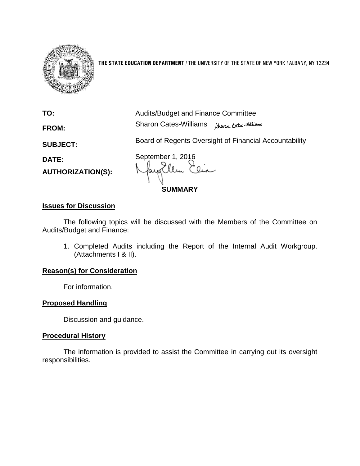

**THE STATE EDUCATION DEPARTMENT** / THE UNIVERSITY OF THE STATE OF NEW YORK / ALBANY, NY 12234

**TO:** Audits/Budget and Finance Committee **FROM:** Sharon Cates-Williams

**SUBJECT:** Board of Regents Oversight of Financial Accountability

**AUTHORIZATION(S):**

**DATE:** September 1, 2016 7 lem

**SUMMARY**

# **Issues for Discussion**

The following topics will be discussed with the Members of the Committee on Audits/Budget and Finance:

1. Completed Audits including the Report of the Internal Audit Workgroup. (Attachments I & II).

# **Reason(s) for Consideration**

For information.

# **Proposed Handling**

Discussion and guidance.

# **Procedural History**

The information is provided to assist the Committee in carrying out its oversight responsibilities.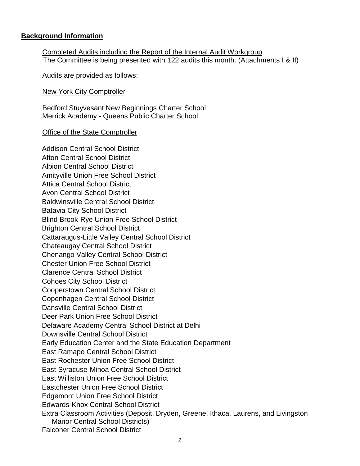#### **Background Information**

Completed Audits including the Report of the Internal Audit Workgroup The Committee is being presented with 122 audits this month. (Attachments I & II)

Audits are provided as follows:

New York City Comptroller

Bedford Stuyvesant New Beginnings Charter School Merrick Academy - Queens Public Charter School

**Office of the State Comptroller** 

Addison Central School District Afton Central School District Albion Central School District Amityville Union Free School District Attica Central School District Avon Central School District Baldwinsville Central School District Batavia City School District Blind Brook-Rye Union Free School District Brighton Central School District Cattaraugus-Little Valley Central School District Chateaugay Central School District Chenango Valley Central School District Chester Union Free School District Clarence Central School District Cohoes City School District Cooperstown Central School District Copenhagen Central School District Dansville Central School District Deer Park Union Free School District Delaware Academy Central School District at Delhi Downsville Central School District Early Education Center and the State Education Department East Ramapo Central School District East Rochester Union Free School District East Syracuse-Minoa Central School District East Williston Union Free School District Eastchester Union Free School District Edgemont Union Free School District Edwards-Knox Central School District Extra Classroom Activities (Deposit, Dryden, Greene, Ithaca, Laurens, and Livingston Manor Central School Districts) Falconer Central School District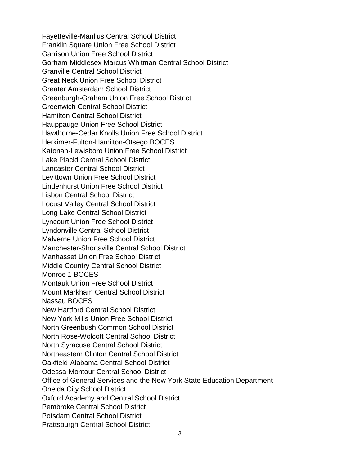Fayetteville-Manlius Central School District Franklin Square Union Free School District Garrison Union Free School District Gorham-Middlesex Marcus Whitman Central School District Granville Central School District Great Neck Union Free School District Greater Amsterdam School District Greenburgh-Graham Union Free School District Greenwich Central School District Hamilton Central School District Hauppauge Union Free School District Hawthorne-Cedar Knolls Union Free School District Herkimer-Fulton-Hamilton-Otsego BOCES Katonah-Lewisboro Union Free School District Lake Placid Central School District Lancaster Central School District Levittown Union Free School District Lindenhurst Union Free School District Lisbon Central School District Locust Valley Central School District Long Lake Central School District Lyncourt Union Free School District Lyndonville Central School District Malverne Union Free School District Manchester-Shortsville Central School District Manhasset Union Free School District Middle Country Central School District Monroe 1 BOCES Montauk Union Free School District Mount Markham Central School District Nassau BOCES New Hartford Central School District New York Mills Union Free School District North Greenbush Common School District North Rose-Wolcott Central School District North Syracuse Central School District Northeastern Clinton Central School District Oakfield-Alabama Central School District Odessa-Montour Central School District Office of General Services and the New York State Education Department Oneida City School District Oxford Academy and Central School District Pembroke Central School District Potsdam Central School District Prattsburgh Central School District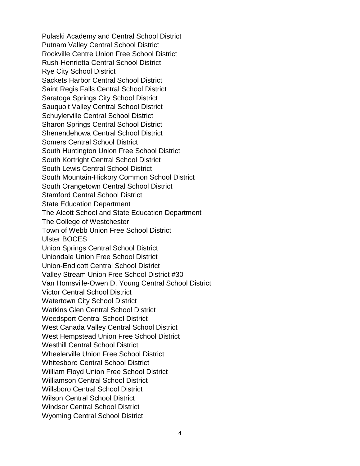Pulaski Academy and Central School District Putnam Valley Central School District Rockville Centre Union Free School District Rush-Henrietta Central School District Rye City School District Sackets Harbor Central School District Saint Regis Falls Central School District Saratoga Springs City School District Sauquoit Valley Central School District Schuylerville Central School District Sharon Springs Central School District Shenendehowa Central School District Somers Central School District South Huntington Union Free School District South Kortright Central School District South Lewis Central School District South Mountain-Hickory Common School District South Orangetown Central School District Stamford Central School District State Education Department The Alcott School and State Education Department The College of Westchester Town of Webb Union Free School District Ulster BOCES Union Springs Central School District Uniondale Union Free School District Union-Endicott Central School District Valley Stream Union Free School District #30 Van Hornsville-Owen D. Young Central School District Victor Central School District Watertown City School District Watkins Glen Central School District Weedsport Central School District West Canada Valley Central School District West Hempstead Union Free School District Westhill Central School District Wheelerville Union Free School District Whitesboro Central School District William Floyd Union Free School District Williamson Central School District Willsboro Central School District Wilson Central School District Windsor Central School District Wyoming Central School District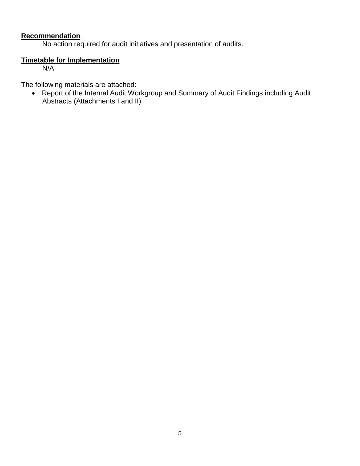# **Recommendation**

No action required for audit initiatives and presentation of audits.

# **Timetable for Implementation**

N/A

The following materials are attached:

 Report of the Internal Audit Workgroup and Summary of Audit Findings including Audit Abstracts (Attachments I and II)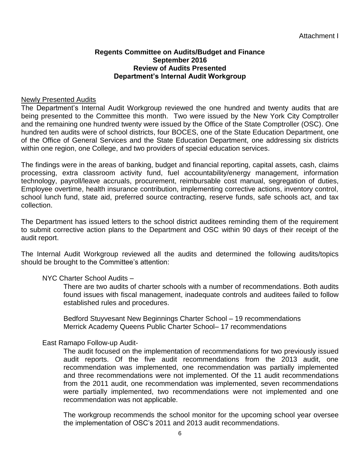# **Regents Committee on Audits/Budget and Finance September 2016 Review of Audits Presented Department's Internal Audit Workgroup**

# Newly Presented Audits

The Department's Internal Audit Workgroup reviewed the one hundred and twenty audits that are being presented to the Committee this month. Two were issued by the New York City Comptroller and the remaining one hundred twenty were issued by the Office of the State Comptroller (OSC). One hundred ten audits were of school districts, four BOCES, one of the State Education Department, one of the Office of General Services and the State Education Department, one addressing six districts within one region, one College, and two providers of special education services.

The findings were in the areas of banking, budget and financial reporting, capital assets, cash, claims processing, extra classroom activity fund, fuel accountability/energy management, information technology, payroll/leave accruals, procurement, reimbursable cost manual, segregation of duties, Employee overtime, health insurance contribution, implementing corrective actions, inventory control, school lunch fund, state aid, preferred source contracting, reserve funds, safe schools act, and tax collection.

The Department has issued letters to the school district auditees reminding them of the requirement to submit corrective action plans to the Department and OSC within 90 days of their receipt of the audit report.

The Internal Audit Workgroup reviewed all the audits and determined the following audits/topics should be brought to the Committee's attention:

# NYC Charter School Audits –

There are two audits of charter schools with a number of recommendations. Both audits found issues with fiscal management, inadequate controls and auditees failed to follow established rules and procedures.

Bedford Stuyvesant New Beginnings Charter School – 19 recommendations Merrick Academy Queens Public Charter School– 17 recommendations

# East Ramapo Follow-up Audit-

The audit focused on the implementation of recommendations for two previously issued audit reports. Of the five audit recommendations from the 2013 audit, one recommendation was implemented, one recommendation was partially implemented and three recommendations were not implemented. Of the 11 audit recommendations from the 2011 audit, one recommendation was implemented, seven recommendations were partially implemented, two recommendations were not implemented and one recommendation was not applicable.

The workgroup recommends the school monitor for the upcoming school year oversee the implementation of OSC's 2011 and 2013 audit recommendations.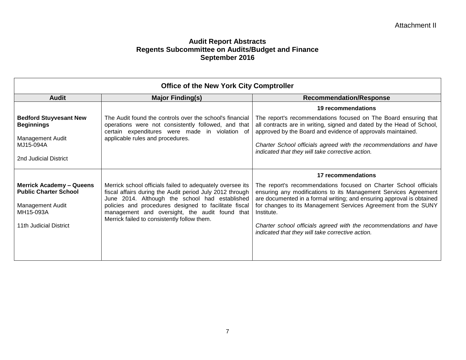| <b>Office of the New York City Comptroller</b>                                                                             |                                                                                                                                                                                                                                                                                                                                   |                                                                                                                                                                                                                                                                                                                                                                                                                       |
|----------------------------------------------------------------------------------------------------------------------------|-----------------------------------------------------------------------------------------------------------------------------------------------------------------------------------------------------------------------------------------------------------------------------------------------------------------------------------|-----------------------------------------------------------------------------------------------------------------------------------------------------------------------------------------------------------------------------------------------------------------------------------------------------------------------------------------------------------------------------------------------------------------------|
| <b>Audit</b>                                                                                                               | <b>Major Finding(s)</b>                                                                                                                                                                                                                                                                                                           | <b>Recommendation/Response</b>                                                                                                                                                                                                                                                                                                                                                                                        |
|                                                                                                                            |                                                                                                                                                                                                                                                                                                                                   | 19 recommendations                                                                                                                                                                                                                                                                                                                                                                                                    |
| <b>Bedford Stuyvesant New</b><br><b>Beginnings</b>                                                                         | The Audit found the controls over the school's financial<br>operations were not consistently followed, and that<br>certain expenditures were made in violation of                                                                                                                                                                 | The report's recommendations focused on The Board ensuring that<br>all contracts are in writing, signed and dated by the Head of School,<br>approved by the Board and evidence of approvals maintained.                                                                                                                                                                                                               |
| <b>Management Audit</b><br>MJ15-094A                                                                                       | applicable rules and procedures.                                                                                                                                                                                                                                                                                                  | Charter School officials agreed with the recommendations and have<br>indicated that they will take corrective action.                                                                                                                                                                                                                                                                                                 |
| 2nd Judicial District                                                                                                      |                                                                                                                                                                                                                                                                                                                                   |                                                                                                                                                                                                                                                                                                                                                                                                                       |
|                                                                                                                            |                                                                                                                                                                                                                                                                                                                                   | 17 recommendations                                                                                                                                                                                                                                                                                                                                                                                                    |
| <b>Merrick Academy - Queens</b><br><b>Public Charter School</b><br>Management Audit<br>MH15-093A<br>11th Judicial District | Merrick school officials failed to adequately oversee its<br>fiscal affairs during the Audit period July 2012 through<br>June 2014. Although the school had established<br>policies and procedures designed to facilitate fiscal<br>management and oversight, the audit found that<br>Merrick failed to consistently follow them. | The report's recommendations focused on Charter School officials<br>ensuring any modifications to its Management Services Agreement<br>are documented in a formal writing; and ensuring approval is obtained<br>for changes to its Management Services Agreement from the SUNY<br>Institute.<br>Charter school officials agreed with the recommendations and have<br>indicated that they will take corrective action. |
|                                                                                                                            |                                                                                                                                                                                                                                                                                                                                   |                                                                                                                                                                                                                                                                                                                                                                                                                       |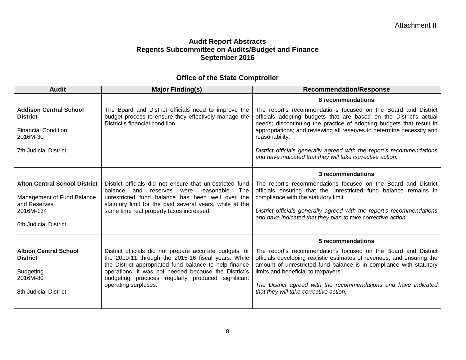| <b>Office of the State Comptroller</b>                                                                                   |                                                                                                                                                                                                                                                                                                                |                                                                                                                                                                                                                                                                                                                                                                     |
|--------------------------------------------------------------------------------------------------------------------------|----------------------------------------------------------------------------------------------------------------------------------------------------------------------------------------------------------------------------------------------------------------------------------------------------------------|---------------------------------------------------------------------------------------------------------------------------------------------------------------------------------------------------------------------------------------------------------------------------------------------------------------------------------------------------------------------|
| <b>Audit</b>                                                                                                             | <b>Major Finding(s)</b>                                                                                                                                                                                                                                                                                        | <b>Recommendation/Response</b>                                                                                                                                                                                                                                                                                                                                      |
|                                                                                                                          |                                                                                                                                                                                                                                                                                                                | 8 recommendations                                                                                                                                                                                                                                                                                                                                                   |
| <b>Addison Central School</b><br><b>District</b>                                                                         | The Board and District officials need to improve the<br>budget process to ensure they effectively manage the<br>District's financial condition.                                                                                                                                                                | The report's recommendations focused on the Board and District<br>officials adopting budgets that are based on the District's actual<br>needs; discontinuing the practice of adopting budgets that result in                                                                                                                                                        |
| <b>Financial Condition</b><br>2016M-30                                                                                   |                                                                                                                                                                                                                                                                                                                | appropriations; and reviewing all reserves to determine necessity and<br>reasonability.                                                                                                                                                                                                                                                                             |
| <b>7th Judicial District</b>                                                                                             |                                                                                                                                                                                                                                                                                                                | District officials generally agreed with the report's recommendations<br>and have indicated that they will take corrective action.                                                                                                                                                                                                                                  |
|                                                                                                                          |                                                                                                                                                                                                                                                                                                                | 3 recommendations                                                                                                                                                                                                                                                                                                                                                   |
| <b>Afton Central School District</b><br>Management of Fund Balance<br>and Reserves<br>2016M-134<br>6th Judicial District | District officials did not ensure that unrestricted fund<br>balance<br>and<br>reasonable.<br>The<br>reserves were<br>unrestricted fund balance has been well over the<br>statutory limit for the past several years, while at the<br>same time real property taxes increased.                                  | The report's recommendations focused on the Board and District<br>officials ensuring that the unrestricted fund balance remains in<br>compliance with the statutory limit.<br>District officials generally agreed with the report's recommendations<br>and have indicated that they plan to take corrective action.                                                 |
|                                                                                                                          |                                                                                                                                                                                                                                                                                                                | 5 recommendations                                                                                                                                                                                                                                                                                                                                                   |
| <b>Albion Central School</b><br><b>District</b><br><b>Budgeting</b><br>2016M-80<br>8th Judicial District                 | District officials did not prepare accurate budgets for<br>the 2010-11 through the 2015-16 fiscal years. While<br>the District appropriated fund balance to help finance<br>operations, it was not needed because the District's<br>budgeting practices regularly produced significant<br>operating surpluses. | The report's recommendations focused on the Board and District<br>officials developing realistic estimates of revenues; and ensuring the<br>amount of unrestricted fund balance is in compliance with statutory<br>limits and beneficial to taxpayers.<br>The District agreed with the recommendations and have indicated<br>that they will take corrective action. |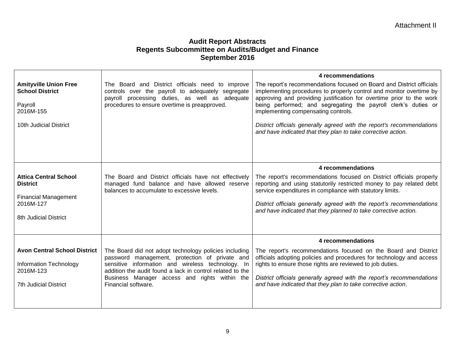|                                                                                                                      |                                                                                                                                                                                                                                                                                                   | 4 recommendations                                                                                                                                                                                                                                                                                                                                    |
|----------------------------------------------------------------------------------------------------------------------|---------------------------------------------------------------------------------------------------------------------------------------------------------------------------------------------------------------------------------------------------------------------------------------------------|------------------------------------------------------------------------------------------------------------------------------------------------------------------------------------------------------------------------------------------------------------------------------------------------------------------------------------------------------|
| <b>Amityville Union Free</b><br><b>School District</b><br>Payroll<br>2016M-155                                       | The Board and District officials need to improve<br>controls over the payroll to adequately segregate<br>payroll processing duties, as well as adequate<br>procedures to ensure overtime is preapproved.                                                                                          | The report's recommendations focused on Board and District officials<br>implementing procedures to properly control and monitor overtime by<br>approving and providing justification for overtime prior to the work<br>being performed; and segregating the payroll clerk's duties or<br>implementing compensating controls.                         |
| 10th Judicial District                                                                                               |                                                                                                                                                                                                                                                                                                   | District officials generally agreed with the report's recommendations<br>and have indicated that they plan to take corrective action.                                                                                                                                                                                                                |
|                                                                                                                      |                                                                                                                                                                                                                                                                                                   |                                                                                                                                                                                                                                                                                                                                                      |
|                                                                                                                      |                                                                                                                                                                                                                                                                                                   | 4 recommendations                                                                                                                                                                                                                                                                                                                                    |
| <b>Attica Central School</b><br><b>District</b><br><b>Financial Management</b><br>2016M-127<br>8th Judicial District | The Board and District officials have not effectively<br>managed fund balance and have allowed reserve<br>balances to accumulate to excessive levels.                                                                                                                                             | The report's recommendations focused on District officials properly<br>reporting and using statutorily restricted money to pay related debt<br>service expenditures in compliance with statutory limits.<br>District officials generally agreed with the report's recommendations<br>and have indicated that they planned to take corrective action. |
|                                                                                                                      |                                                                                                                                                                                                                                                                                                   | 4 recommendations                                                                                                                                                                                                                                                                                                                                    |
| <b>Avon Central School District</b><br><b>Information Technology</b><br>2016M-123<br><b>7th Judicial District</b>    | The Board did not adopt technology policies including<br>password management, protection of private and<br>sensitive information and wireless technology. In<br>addition the audit found a lack in control related to the<br>Business Manager access and rights within the<br>Financial software. | The report's recommendations focused on the Board and District<br>officials adopting policies and procedures for technology and access<br>rights to ensure those rights are reviewed to job duties.<br>District officials generally agreed with the report's recommendations<br>and have indicated that they plan to take corrective action.         |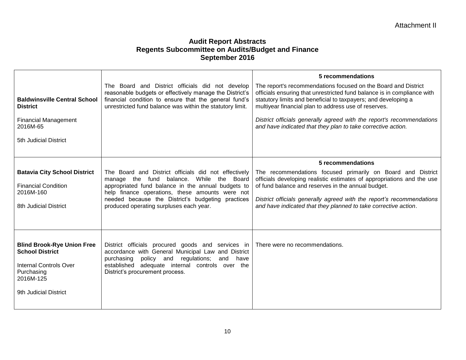| <b>Baldwinsville Central School</b><br><b>District</b><br><b>Financial Management</b><br>2016M-65<br>5th Judicial District                       | The Board and District officials did not develop<br>reasonable budgets or effectively manage the District's<br>financial condition to ensure that the general fund's<br>unrestricted fund balance was within the statutory limit.                                                                               | 5 recommendations<br>The report's recommendations focused on the Board and District<br>officials ensuring that unrestricted fund balance is in compliance with<br>statutory limits and beneficial to taxpayers; and developing a<br>multiyear financial plan to address use of reserves.<br>District officials generally agreed with the report's recommendations<br>and have indicated that they plan to take corrective action. |
|--------------------------------------------------------------------------------------------------------------------------------------------------|-----------------------------------------------------------------------------------------------------------------------------------------------------------------------------------------------------------------------------------------------------------------------------------------------------------------|-----------------------------------------------------------------------------------------------------------------------------------------------------------------------------------------------------------------------------------------------------------------------------------------------------------------------------------------------------------------------------------------------------------------------------------|
| <b>Batavia City School District</b><br><b>Financial Condition</b><br>2016M-160<br>8th Judicial District                                          | The Board and District officials did not effectively<br>While the Board<br>manage the fund<br>balance.<br>appropriated fund balance in the annual budgets to<br>help finance operations, these amounts were not<br>needed because the District's budgeting practices<br>produced operating surpluses each year. | 5 recommendations<br>The recommendations focused primarily on Board and District<br>officials developing realistic estimates of appropriations and the use<br>of fund balance and reserves in the annual budget.<br>District officials generally agreed with the report's recommendations<br>and have indicated that they planned to take corrective action.                                                                      |
| <b>Blind Brook-Rye Union Free</b><br><b>School District</b><br><b>Internal Controls Over</b><br>Purchasing<br>2016M-125<br>9th Judicial District | District officials procured goods and services in<br>accordance with General Municipal Law and District<br>policy and regulations;<br>purchasing<br>and have<br>established adequate internal controls over the<br>District's procurement process.                                                              | l There were no recommendations.                                                                                                                                                                                                                                                                                                                                                                                                  |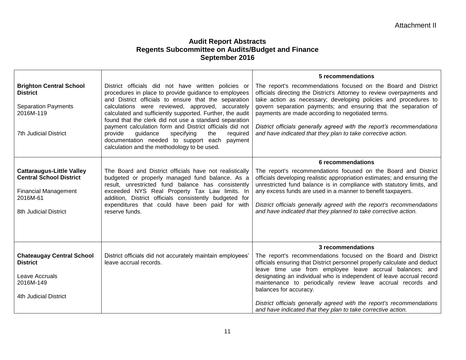|                                                                                                                                        |                                                                                                                                                                                                                                                                                                                                                  | 5 recommendations                                                                                                                                                                                                                                                                                                                                                                                                              |
|----------------------------------------------------------------------------------------------------------------------------------------|--------------------------------------------------------------------------------------------------------------------------------------------------------------------------------------------------------------------------------------------------------------------------------------------------------------------------------------------------|--------------------------------------------------------------------------------------------------------------------------------------------------------------------------------------------------------------------------------------------------------------------------------------------------------------------------------------------------------------------------------------------------------------------------------|
| <b>Brighton Central School</b><br><b>District</b><br><b>Separation Payments</b>                                                        | District officials did not have written policies or<br>procedures in place to provide guidance to employees<br>and District officials to ensure that the separation<br>calculations were reviewed, approved, accurately                                                                                                                          | The report's recommendations focused on the Board and District<br>officials directing the District's Attorney to review overpayments and<br>take action as necessary; developing policies and procedures to<br>govern separation payments; and ensuring that the separation of                                                                                                                                                 |
| 2016M-119                                                                                                                              | calculated and sufficiently supported. Further, the audit<br>found that the clerk did not use a standard separation                                                                                                                                                                                                                              | payments are made according to negotiated terms.                                                                                                                                                                                                                                                                                                                                                                               |
| <b>7th Judicial District</b>                                                                                                           | payment calculation form and District officials did not<br>provide<br>specifying<br>required<br>guidance<br>the<br>documentation needed to support each payment<br>calculation and the methodology to be used.                                                                                                                                   | District officials generally agreed with the report's recommendations<br>and have indicated that they plan to take corrective action.                                                                                                                                                                                                                                                                                          |
|                                                                                                                                        |                                                                                                                                                                                                                                                                                                                                                  | 6 recommendations                                                                                                                                                                                                                                                                                                                                                                                                              |
| <b>Cattaraugus-Little Valley</b><br><b>Central School District</b><br><b>Financial Management</b><br>2016M-61<br>8th Judicial District | The Board and District officials have not realistically<br>budgeted or properly managed fund balance. As a<br>result, unrestricted fund balance has consistently<br>exceeded NYS Real Property Tax Law limits. In<br>addition, District officials consistently budgeted for<br>expenditures that could have been paid for with<br>reserve funds. | The report's recommendations focused on the Board and District<br>officials developing realistic appropriation estimates; and ensuring the<br>unrestricted fund balance is in compliance with statutory limits, and<br>any excess funds are used in a manner to benefit taxpayers.<br>District officials generally agreed with the report's recommendations<br>and have indicated that they planned to take corrective action. |
|                                                                                                                                        |                                                                                                                                                                                                                                                                                                                                                  | 3 recommendations                                                                                                                                                                                                                                                                                                                                                                                                              |
| <b>Chateaugay Central School</b><br><b>District</b><br>Leave Accruals<br>2016M-149<br>4th Judicial District                            | District officials did not accurately maintain employees'<br>leave accrual records.                                                                                                                                                                                                                                                              | The report's recommendations focused on the Board and District<br>officials ensuring that District personnel properly calculate and deduct<br>leave time use from employee leave accrual balances; and<br>designating an individual who is independent of leave accrual record<br>maintenance to periodically review leave accrual records and<br>balances for accuracy.                                                       |
|                                                                                                                                        |                                                                                                                                                                                                                                                                                                                                                  | District officials generally agreed with the report's recommendations<br>and have indicated that they plan to take corrective action.                                                                                                                                                                                                                                                                                          |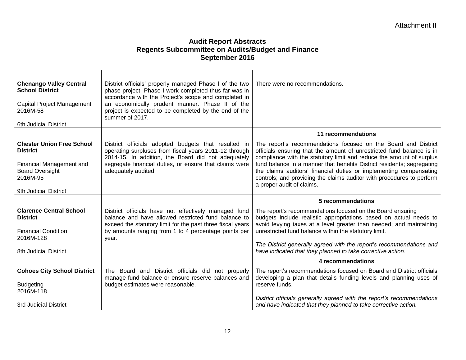| <b>Chenango Valley Central</b><br><b>School District</b><br>Capital Project Management<br>2016M-58<br>6th Judicial District                    | District officials' properly managed Phase I of the two<br>phase project. Phase I work completed thus far was in<br>accordance with the Project's scope and completed in<br>an economically prudent manner. Phase II of the<br>project is expected to be completed by the end of the<br>summer of 2017. | There were no recommendations.                                                                                                                                                                                                                                                                                                                                                                                                                                        |
|------------------------------------------------------------------------------------------------------------------------------------------------|---------------------------------------------------------------------------------------------------------------------------------------------------------------------------------------------------------------------------------------------------------------------------------------------------------|-----------------------------------------------------------------------------------------------------------------------------------------------------------------------------------------------------------------------------------------------------------------------------------------------------------------------------------------------------------------------------------------------------------------------------------------------------------------------|
|                                                                                                                                                |                                                                                                                                                                                                                                                                                                         | 11 recommendations                                                                                                                                                                                                                                                                                                                                                                                                                                                    |
| <b>Chester Union Free School</b><br><b>District</b><br>Financial Management and<br><b>Board Oversight</b><br>2016M-95<br>9th Judicial District | District officials adopted budgets that resulted in<br>operating surpluses from fiscal years 2011-12 through<br>2014-15. In addition, the Board did not adequately<br>segregate financial duties, or ensure that claims were<br>adequately audited.                                                     | The report's recommendations focused on the Board and District<br>officials ensuring that the amount of unrestricted fund balance is in<br>compliance with the statutory limit and reduce the amount of surplus<br>fund balance in a manner that benefits District residents; segregating<br>the claims auditors' financial duties or implementing compensating<br>controls; and providing the claims auditor with procedures to perform<br>a proper audit of claims. |
|                                                                                                                                                |                                                                                                                                                                                                                                                                                                         | 5 recommendations                                                                                                                                                                                                                                                                                                                                                                                                                                                     |
| <b>Clarence Central School</b><br><b>District</b><br><b>Financial Condition</b><br>2016M-128                                                   | District officials have not effectively managed fund<br>balance and have allowed restricted fund balance to<br>exceed the statutory limit for the past three fiscal years<br>by amounts ranging from 1 to 4 percentage points per<br>year.                                                              | The report's recommendations focused on the Board ensuring<br>budgets include realistic appropriations based on actual needs to<br>avoid levying taxes at a level greater than needed; and maintaining<br>unrestricted fund balance within the statutory limit.                                                                                                                                                                                                       |
| 8th Judicial District                                                                                                                          |                                                                                                                                                                                                                                                                                                         | The District generally agreed with the report's recommendations and<br>have indicated that they planned to take corrective action.                                                                                                                                                                                                                                                                                                                                    |
|                                                                                                                                                |                                                                                                                                                                                                                                                                                                         | 4 recommendations                                                                                                                                                                                                                                                                                                                                                                                                                                                     |
| <b>Cohoes City School District</b><br><b>Budgeting</b><br>2016M-118                                                                            | The Board and District officials did not properly<br>manage fund balance or ensure reserve balances and<br>budget estimates were reasonable.                                                                                                                                                            | The report's recommendations focused on Board and District officials<br>developing a plan that details funding levels and planning uses of<br>reserve funds.<br>District officials generally agreed with the report's recommendations                                                                                                                                                                                                                                 |
| 3rd Judicial District                                                                                                                          |                                                                                                                                                                                                                                                                                                         | and have indicated that they planned to take corrective action.                                                                                                                                                                                                                                                                                                                                                                                                       |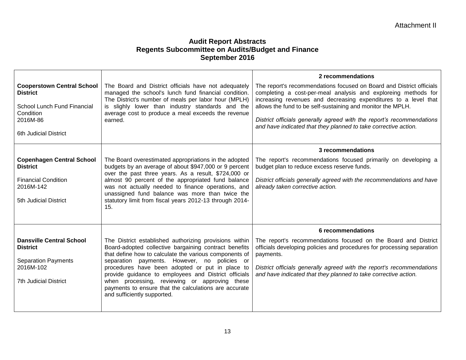| <b>Cooperstown Central School</b><br><b>District</b><br>School Lunch Fund Financial<br>Condition<br>2016M-86<br><b>6th Judicial District</b> | The Board and District officials have not adequately<br>managed the school's lunch fund financial condition.<br>The District's number of meals per labor hour (MPLH)<br>is slighly lower than industry standards and the<br>average cost to produce a meal exceeds the revenue<br>earned.                                                                                                                                                                                     | 2 recommendations<br>The report's recommendations focused on Board and District officials<br>completing a cost-per-meal analysis and exploreing methods for<br>increasing revenues and decreasing expenditures to a level that<br>allows the fund to be self-sustaining and monitor the MPLH.<br>District officials generally agreed with the report's recommendations<br>and have indicated that they planned to take corrective action. |
|----------------------------------------------------------------------------------------------------------------------------------------------|-------------------------------------------------------------------------------------------------------------------------------------------------------------------------------------------------------------------------------------------------------------------------------------------------------------------------------------------------------------------------------------------------------------------------------------------------------------------------------|-------------------------------------------------------------------------------------------------------------------------------------------------------------------------------------------------------------------------------------------------------------------------------------------------------------------------------------------------------------------------------------------------------------------------------------------|
| <b>Copenhagen Central School</b><br><b>District</b><br><b>Financial Condition</b><br>2016M-142<br>5th Judicial District                      | The Board overestimated appropriations in the adopted<br>budgets by an average of about \$947,000 or 9 percent<br>over the past three years. As a result, \$724,000 or<br>almost 90 percent of the appropriated fund balance<br>was not actually needed to finance operations, and<br>unassigned fund balance was more than twice the<br>statutory limit from fiscal years 2012-13 through 2014-<br>15.                                                                       | 3 recommendations<br>The report's recommendations focused primarily on developing a<br>budget plan to reduce excess reserve funds.<br>District officials generally agreed with the recommendations and have<br>already taken corrective action.                                                                                                                                                                                           |
| <b>Dansville Central School</b><br><b>District</b><br><b>Separation Payments</b><br>2016M-102<br><b>7th Judicial District</b>                | The District established authorizing provisions within<br>Board-adopted collective bargaining contract benefits<br>that define how to calculate the various components of<br>separation payments. However, no policies or<br>procedures have been adopted or put in place to<br>provide guidance to employees and District officials<br>when processing, reviewing or approving these<br>payments to ensure that the calculations are accurate<br>and sufficiently supported. | 6 recommendations<br>The report's recommendations focused on the Board and District<br>officials developing policies and procedures for processing separation<br>payments.<br>District officials generally agreed with the report's recommendations<br>and have indicated that they planned to take corrective action.                                                                                                                    |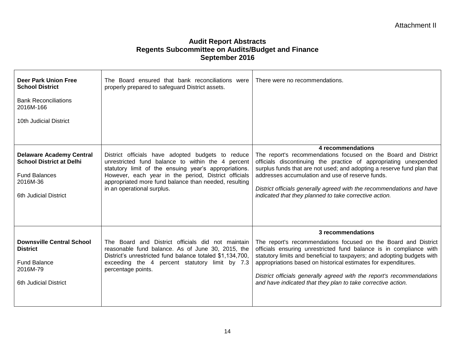| Deer Park Union Free<br><b>School District</b><br><b>Bank Reconciliations</b><br>2016M-166<br>10th Judicial District            | The Board ensured that bank reconciliations were<br>properly prepared to safeguard District assets.                                                                                                                                                                                                            | There were no recommendations.                                                                                                                                                                                                                                                                                                                                                                                                                  |
|---------------------------------------------------------------------------------------------------------------------------------|----------------------------------------------------------------------------------------------------------------------------------------------------------------------------------------------------------------------------------------------------------------------------------------------------------------|-------------------------------------------------------------------------------------------------------------------------------------------------------------------------------------------------------------------------------------------------------------------------------------------------------------------------------------------------------------------------------------------------------------------------------------------------|
| <b>Delaware Academy Central</b><br><b>School District at Delhi</b><br><b>Fund Balances</b><br>2016M-36<br>6th Judicial District | District officials have adopted budgets to reduce<br>unrestricted fund balance to within the 4 percent<br>statutory limit of the ensuing year's appropriations.<br>However, each year in the period, District officials<br>appropriated more fund balance than needed, resulting<br>in an operational surplus. | 4 recommendations<br>The report's recommendations focused on the Board and District<br>officials discontinuing the practice of appropriating unexpended<br>surplus funds that are not used; and adopting a reserve fund plan that<br>addresses accumulation and use of reserve funds.<br>District officials generally agreed with the recommendations and have<br>indicated that they planned to take corrective action.                        |
| <b>Downsville Central School</b><br><b>District</b><br><b>Fund Balance</b><br>2016M-79<br>6th Judicial District                 | The Board and District officials did not maintain<br>reasonable fund balance. As of June 30, 2015, the<br>District's unrestricted fund balance totaled \$1,134,700,<br>exceeding the 4 percent statutory limit by 7.3<br>percentage points.                                                                    | 3 recommendations<br>The report's recommendations focused on the Board and District<br>officials ensuring unrestricted fund balance is in compliance with<br>statutory limits and beneficial to taxpayers; and adopting budgets with<br>appropriations based on historical estimates for expenditures.<br>District officials generally agreed with the report's recommendations<br>and have indicated that they plan to take corrective action. |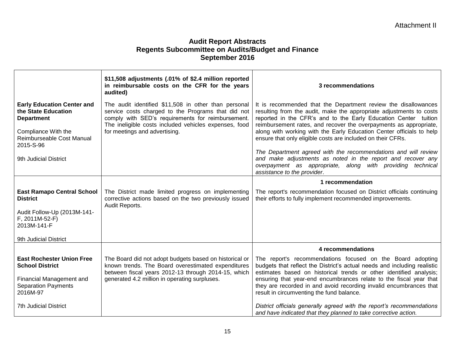|                                                                               | \$11,508 adjustments (.01% of \$2.4 million reported<br>in reimbursable costs on the CFR for the years<br>audited)                                                                                                       | 3 recommendations                                                                                                                                                                                                                                                             |
|-------------------------------------------------------------------------------|--------------------------------------------------------------------------------------------------------------------------------------------------------------------------------------------------------------------------|-------------------------------------------------------------------------------------------------------------------------------------------------------------------------------------------------------------------------------------------------------------------------------|
| <b>Early Education Center and</b><br>the State Education<br><b>Department</b> | The audit identified \$11,508 in other than personal<br>service costs charged to the Programs that did not<br>comply with SED's requirements for reimbursement.<br>The ineligible costs included vehicles expenses, food | It is recommended that the Department review the disallowances<br>resulting from the audit, make the appropriate adjustments to costs<br>reported in the CFR's and to the Early Education Center tuition<br>reimbursement rates, and recover the overpayments as appropriate, |
| Compliance With the<br>Reimburseable Cost Manual<br>2015-S-96                 | for meetings and advertising.                                                                                                                                                                                            | along with working with the Early Education Center officials to help<br>ensure that only eligible costs are included on their CFRs.                                                                                                                                           |
| 9th Judicial District                                                         |                                                                                                                                                                                                                          | The Department agreed with the recommendations and will review<br>and make adjustments as noted in the report and recover any<br>overpayment as appropriate, along with providing technical<br>assistance to the provider.                                                    |
|                                                                               |                                                                                                                                                                                                                          | 1 recommendation                                                                                                                                                                                                                                                              |
| <b>East Ramapo Central School</b><br><b>District</b>                          | The District made limited progress on implementing<br>corrective actions based on the two previously issued<br>Audit Reports.                                                                                            | The report's recommendation focused on District officials continuing<br>their efforts to fully implement recommended improvements.                                                                                                                                            |
| Audit Follow-Up (2013M-141-<br>F, 2011M-52-F)<br>2013M-141-F                  |                                                                                                                                                                                                                          |                                                                                                                                                                                                                                                                               |
| 9th Judicial District                                                         |                                                                                                                                                                                                                          |                                                                                                                                                                                                                                                                               |
|                                                                               |                                                                                                                                                                                                                          | 4 recommendations                                                                                                                                                                                                                                                             |
| <b>East Rochester Union Free</b><br><b>School District</b>                    | The Board did not adopt budgets based on historical or<br>known trends. The Board overestimated expenditures<br>between fiscal years 2012-13 through 2014-15, which                                                      | The report's recommendations focused on the Board adopting<br>budgets that reflect the District's actual needs and including realistic<br>estimates based on historical trends or other identified analysis;                                                                  |
| Financial Management and<br><b>Separation Payments</b><br>2016M-97            | generated 4.2 million in operating surpluses.                                                                                                                                                                            | ensuring that year-end encumbrances relate to the fiscal year that<br>they are recorded in and avoid recording invalid encumbrances that<br>result in circumventing the fund balance.                                                                                         |
| <b>7th Judicial District</b>                                                  |                                                                                                                                                                                                                          | District officials generally agreed with the report's recommendations<br>and have indicated that they planned to take corrective action.                                                                                                                                      |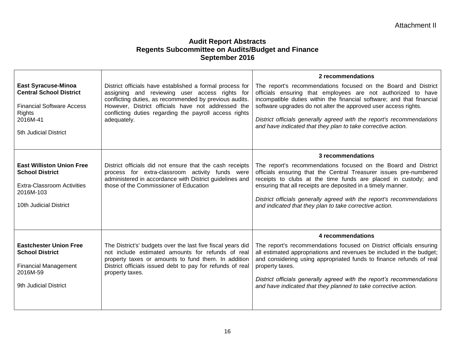|                                                                                                                                                 |                                                                                                                                                                                                                                                                                                     | 2 recommendations                                                                                                                                                                                                                                                                                                                                                                                                   |
|-------------------------------------------------------------------------------------------------------------------------------------------------|-----------------------------------------------------------------------------------------------------------------------------------------------------------------------------------------------------------------------------------------------------------------------------------------------------|---------------------------------------------------------------------------------------------------------------------------------------------------------------------------------------------------------------------------------------------------------------------------------------------------------------------------------------------------------------------------------------------------------------------|
| <b>East Syracuse-Minoa</b><br><b>Central School District</b><br><b>Financial Software Access</b><br>Rights<br>2016M-41<br>5th Judicial District | District officials have established a formal process for<br>assigning and reviewing user access rights for<br>conflicting duties, as recommended by previous audits.<br>However, District officials have not addressed the<br>conflicting duties regarding the payroll access rights<br>adequately. | The report's recommendations focused on the Board and District<br>officials ensuring that employees are not authorized to have<br>incompatible duties within the financial software; and that financial<br>software upgrades do not alter the approved user access rights.<br>District officials generally agreed with the report's recommendations<br>and have indicated that they plan to take corrective action. |
|                                                                                                                                                 |                                                                                                                                                                                                                                                                                                     | 3 recommendations                                                                                                                                                                                                                                                                                                                                                                                                   |
| <b>East Williston Union Free</b><br><b>School District</b><br><b>Extra-Classroom Activities</b><br>2016M-103<br>10th Judicial District          | District officials did not ensure that the cash receipts<br>process for extra-classroom activity funds were<br>administered in accordance with District guidelines and<br>those of the Commissioner of Education                                                                                    | The report's recommendations focused on the Board and District<br>officials ensuring that the Central Treasurer issues pre-numbered<br>receipts to clubs at the time funds are placed in custody; and<br>ensuring that all receipts are deposited in a timely manner.<br>District officials generally agreed with the report's recommendations<br>and indicated that they plan to take corrective action.           |
|                                                                                                                                                 |                                                                                                                                                                                                                                                                                                     | 4 recommendations                                                                                                                                                                                                                                                                                                                                                                                                   |
| <b>Eastchester Union Free</b><br><b>School District</b><br><b>Financial Management</b><br>2016M-59<br>9th Judicial District                     | The District's' budgets over the last five fiscal years did<br>not include estimated amounts for refunds of real<br>property taxes or amounts to fund them. In addition<br>District officials issued debt to pay for refunds of real<br>property taxes.                                             | The report's recommendations focused on District officials ensuring<br>all estimated appropriations and revenues be included in the budget;<br>and considering using appropriated funds to finance refunds of real<br>property taxes.<br>District officials generally agreed with the report's recommendations<br>and have indicated that they planned to take corrective action.                                   |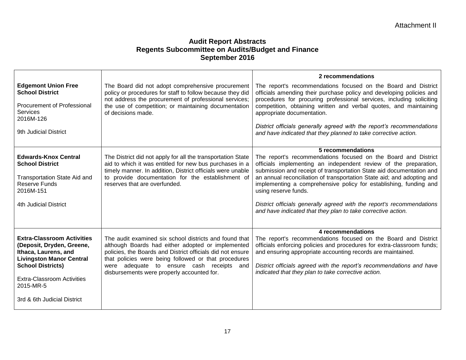|                                                                                                                                                                                                                                        |                                                                                                                                                                                                                                                                                                                              | 2 recommendations                                                                                                                                                                                                                                                                                                                                                                                                                                                                                                                               |
|----------------------------------------------------------------------------------------------------------------------------------------------------------------------------------------------------------------------------------------|------------------------------------------------------------------------------------------------------------------------------------------------------------------------------------------------------------------------------------------------------------------------------------------------------------------------------|-------------------------------------------------------------------------------------------------------------------------------------------------------------------------------------------------------------------------------------------------------------------------------------------------------------------------------------------------------------------------------------------------------------------------------------------------------------------------------------------------------------------------------------------------|
| <b>Edgemont Union Free</b><br><b>School District</b><br>Procurement of Professional<br><b>Services</b><br>2016M-126                                                                                                                    | The Board did not adopt comprehensive procurement<br>policy or procedures for staff to follow because they did<br>not address the procurement of professional services;<br>the use of competition; or maintaining documentation<br>of decisions made.                                                                        | The report's recommendations focused on the Board and District<br>officials amending their purchase policy and developing policies and<br>procedures for procuring professional services, including soliciting<br>competition, obtaining written and verbal quotes, and maintaining<br>appropriate documentation.                                                                                                                                                                                                                               |
| 9th Judicial District                                                                                                                                                                                                                  |                                                                                                                                                                                                                                                                                                                              | District officials generally agreed with the report's recommendations<br>and have indicated that they planned to take corrective action.                                                                                                                                                                                                                                                                                                                                                                                                        |
| <b>Edwards-Knox Central</b><br><b>School District</b><br>Transportation State Aid and<br><b>Reserve Funds</b><br>2016M-151<br>4th Judicial District                                                                                    | The District did not apply for all the transportation State<br>aid to which it was entitled for new bus purchases in a<br>timely manner. In addition, District officials were unable<br>to provide documentation for the establishment of<br>reserves that are overfunded.                                                   | 5 recommendations<br>The report's recommendations focused on the Board and District<br>officials implementing an independent review of the preparation,<br>submission and receipt of transportation State aid documentation and<br>an annual reconciliation of transportation State aid; and adopting and<br>implementing a comprehensive policy for establishing, funding and<br>using reserve funds.<br>District officials generally agreed with the report's recommendations<br>and have indicated that they plan to take corrective action. |
| <b>Extra-Classroom Activities</b><br>(Deposit, Dryden, Greene,<br>Ithaca, Laurens, and<br><b>Livingston Manor Central</b><br><b>School Districts)</b><br><b>Extra-Classroom Activities</b><br>2015-MR-5<br>3rd & 6th Judicial District | The audit examined six school districts and found that<br>although Boards had either adopted or implemented<br>policies, the Boards and District officials did not ensure<br>that policies were being followed or that procedures<br>were adequate to ensure cash receipts and<br>disbursements were properly accounted for. | 4 recommendations<br>The report's recommendations focused on the Board and District<br>officials enforcing policies and procedures for extra-classroom funds;<br>and ensuring appropriate accounting records are maintained.<br>District officials agreed with the report's recommendations and have<br>indicated that they plan to take corrective action.                                                                                                                                                                                     |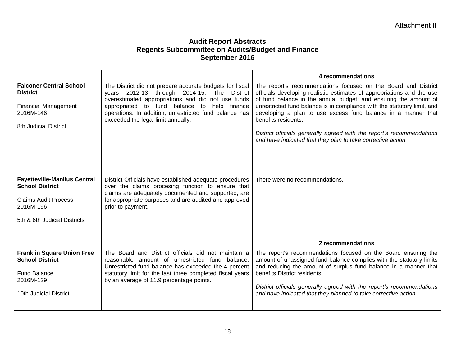|                                                                                                                                           |                                                                                                                                                                                                                                                                                                               | 4 recommendations                                                                                                                                                                                                                                                                                                                                                                                                                                                                                                         |
|-------------------------------------------------------------------------------------------------------------------------------------------|---------------------------------------------------------------------------------------------------------------------------------------------------------------------------------------------------------------------------------------------------------------------------------------------------------------|---------------------------------------------------------------------------------------------------------------------------------------------------------------------------------------------------------------------------------------------------------------------------------------------------------------------------------------------------------------------------------------------------------------------------------------------------------------------------------------------------------------------------|
| <b>Falconer Central School</b><br><b>District</b><br><b>Financial Management</b><br>2016M-146<br>8th Judicial District                    | The District did not prepare accurate budgets for fiscal<br>years 2012-13 through 2014-15. The District<br>overestimated appropriations and did not use funds<br>appropriated to fund balance to help finance<br>operations. In addition, unrestricted fund balance has<br>exceeded the legal limit annually. | The report's recommendations focused on the Board and District<br>officials developing realistic estimates of appropriations and the use<br>of fund balance in the annual budget; and ensuring the amount of<br>unrestricted fund balance is in compliance with the statutory limit, and<br>developing a plan to use excess fund balance in a manner that<br>benefits residents.<br>District officials generally agreed with the report's recommendations<br>and have indicated that they plan to take corrective action. |
| <b>Fayetteville-Manlius Central</b><br><b>School District</b><br><b>Claims Audit Process</b><br>2016M-196<br>5th & 6th Judicial Districts | District Officials have established adequate procedures<br>over the claims procesing function to ensure that<br>claims are adequately documented and supported, are<br>for appropriate purposes and are audited and approved<br>prior to payment.                                                             | There were no recommendations.                                                                                                                                                                                                                                                                                                                                                                                                                                                                                            |
|                                                                                                                                           |                                                                                                                                                                                                                                                                                                               | 2 recommendations                                                                                                                                                                                                                                                                                                                                                                                                                                                                                                         |
| <b>Franklin Square Union Free</b><br><b>School District</b><br><b>Fund Balance</b><br>2016M-129<br>10th Judicial District                 | The Board and District officials did not maintain a<br>reasonable amount of unrestricted fund balance.<br>Unrestricted fund balance has exceeded the 4 percent<br>statutory limit for the last three completed fiscal years<br>by an average of 11.9 percentage points.                                       | The report's recommendations focused on the Board ensuring the<br>amount of unassigned fund balance complies with the statutory limits<br>and reducing the amount of surplus fund balance in a manner that<br>benefits District residents.<br>District officials generally agreed with the report's recommendations<br>and have indicated that they planned to take corrective action.                                                                                                                                    |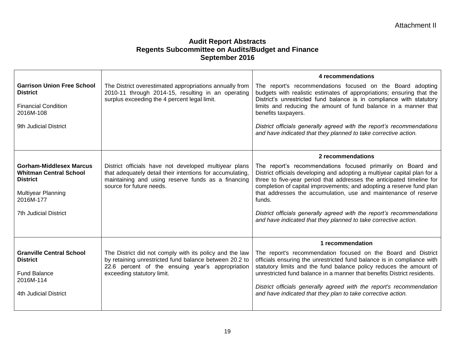|                                                                                                                                                       |                                                                                                                                                                                                      | 4 recommendations                                                                                                                                                                                                                                                                                                                                                                                                                                                                                                  |
|-------------------------------------------------------------------------------------------------------------------------------------------------------|------------------------------------------------------------------------------------------------------------------------------------------------------------------------------------------------------|--------------------------------------------------------------------------------------------------------------------------------------------------------------------------------------------------------------------------------------------------------------------------------------------------------------------------------------------------------------------------------------------------------------------------------------------------------------------------------------------------------------------|
| <b>Garrison Union Free School</b><br><b>District</b>                                                                                                  | The District overestimated appropriations annually from<br>2010-11 through 2014-15, resulting in an operating<br>surplus exceeding the 4 percent legal limit.                                        | The report's recommendations focused on the Board adopting<br>budgets with realistic estimates of appropriations; ensuring that the<br>District's unrestricted fund balance is in compliance with statutory                                                                                                                                                                                                                                                                                                        |
| <b>Financial Condition</b><br>2016M-108                                                                                                               |                                                                                                                                                                                                      | limits and reducing the amount of fund balance in a manner that<br>benefits taxpayers.                                                                                                                                                                                                                                                                                                                                                                                                                             |
| 9th Judicial District                                                                                                                                 |                                                                                                                                                                                                      | District officials generally agreed with the report's recommendations<br>and have indicated that they planned to take corrective action.                                                                                                                                                                                                                                                                                                                                                                           |
|                                                                                                                                                       |                                                                                                                                                                                                      | 2 recommendations                                                                                                                                                                                                                                                                                                                                                                                                                                                                                                  |
| <b>Gorham-Middlesex Marcus</b><br><b>Whitman Central School</b><br><b>District</b><br>Multiyear Planning<br>2016M-177<br><b>7th Judicial District</b> | District officials have not developed multiyear plans<br>that adequately detail their intentions for accumulating,<br>maintaining and using reserve funds as a financing<br>source for future needs. | The report's recommendations focused primarily on Board and<br>District officials developing and adopting a multiyear capital plan for a<br>three to five-year period that addresses the anticipated timeline for<br>completion of capital improvements; and adopting a reserve fund plan<br>that addresses the accumulation, use and maintenance of reserve<br>funds.<br>District officials generally agreed with the report's recommendations<br>and have indicated that they planned to take corrective action. |
|                                                                                                                                                       |                                                                                                                                                                                                      | 1 recommendation                                                                                                                                                                                                                                                                                                                                                                                                                                                                                                   |
| <b>Granville Central School</b><br><b>District</b>                                                                                                    | The District did not comply with its policy and the law<br>by retaining unrestricted fund balance between 20.2 to<br>22.6 percent of the ensuing year's appropriation                                | The report's recommendation focused on the Board and District<br>officials ensuring the unrestricted fund balance is in compliance with<br>statutory limits and the fund balance policy reduces the amount of                                                                                                                                                                                                                                                                                                      |
| <b>Fund Balance</b><br>2016M-114                                                                                                                      | exceeding statutory limit.                                                                                                                                                                           | unrestricted fund balance in a manner that benefits District residents.                                                                                                                                                                                                                                                                                                                                                                                                                                            |
| 4th Judicial District                                                                                                                                 |                                                                                                                                                                                                      | District officials generally agreed with the report's recommendation<br>and have indicated that they plan to take corrective action.                                                                                                                                                                                                                                                                                                                                                                               |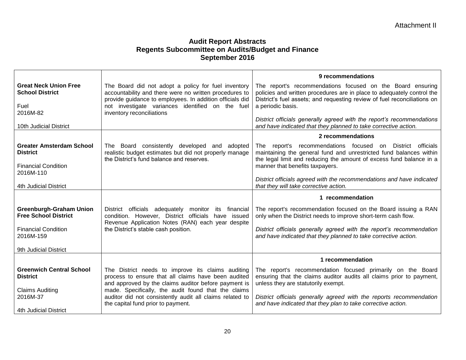|                                                                                               |                                                                                                                                                                                                                                                            | 9 recommendations                                                                                                                                                                                                                          |
|-----------------------------------------------------------------------------------------------|------------------------------------------------------------------------------------------------------------------------------------------------------------------------------------------------------------------------------------------------------------|--------------------------------------------------------------------------------------------------------------------------------------------------------------------------------------------------------------------------------------------|
| <b>Great Neck Union Free</b><br><b>School District</b><br>Fuel<br>2016M-82                    | The Board did not adopt a policy for fuel inventory<br>accountability and there were no written procedures to<br>provide guidance to employees. In addition officials did<br>not investigate variances identified on the fuel<br>inventory reconciliations | The report's recommendations focused on the Board ensuring<br>policies and written procedures are in place to adequately control the<br>District's fuel assets; and requesting review of fuel reconciliations on<br>a periodic basis.      |
| 10th Judicial District                                                                        |                                                                                                                                                                                                                                                            | District officials generally agreed with the report's recommendations<br>and have indicated that they planned to take corrective action.                                                                                                   |
|                                                                                               |                                                                                                                                                                                                                                                            | 2 recommendations                                                                                                                                                                                                                          |
| <b>Greater Amsterdam School</b><br><b>District</b><br><b>Financial Condition</b><br>2016M-110 | The Board consistently developed and adopted<br>realistic budget estimates but did not properly manage<br>the District's fund balance and reserves.                                                                                                        | The report's recommendations focused on District officials<br>maintaining the general fund and unrestricted fund balances within<br>the legal limit and reducing the amount of excess fund balance in a<br>manner that benefits taxpayers. |
| 4th Judicial District                                                                         |                                                                                                                                                                                                                                                            | District officials agreed with the recommendations and have indicated<br>that they will take corrective action.                                                                                                                            |
|                                                                                               |                                                                                                                                                                                                                                                            | 1 recommendation                                                                                                                                                                                                                           |
| <b>Greenburgh-Graham Union</b><br><b>Free School District</b>                                 | District officials adequately<br>monitor<br>its financial<br>condition. However, District officials<br>have issued<br>Revenue Application Notes (RAN) each year despite                                                                                    | The report's recommendation focused on the Board issuing a RAN<br>only when the District needs to improve short-term cash flow.                                                                                                            |
| <b>Financial Condition</b><br>2016M-159                                                       | the District's stable cash position.                                                                                                                                                                                                                       | District officials generally agreed with the report's recommendation<br>and have indicated that they planned to take corrective action.                                                                                                    |
| 9th Judicial District                                                                         |                                                                                                                                                                                                                                                            |                                                                                                                                                                                                                                            |
|                                                                                               |                                                                                                                                                                                                                                                            | 1 recommendation                                                                                                                                                                                                                           |
| <b>Greenwich Central School</b><br><b>District</b>                                            | The District needs to improve its claims auditing<br>process to ensure that all claims have been audited<br>and approved by the claims auditor before payment is                                                                                           | The report's recommendation focused primarily on the Board<br>ensuring that the claims auditor audits all claims prior to payment,<br>unless they are statutorily exempt.                                                                  |
| <b>Claims Auditing</b><br>2016M-37                                                            | made. Specifically, the audit found that the claims<br>auditor did not consistently audit all claims related to                                                                                                                                            | District officials generally agreed with the reports recommendation                                                                                                                                                                        |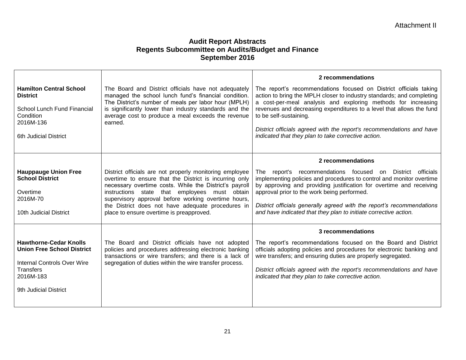|                                                                                                                                                                    |                                                                                                                                                                                                                                                                                                                                                                                      | 2 recommendations                                                                                                                                                                                                                                                                                                                                                                                                                            |
|--------------------------------------------------------------------------------------------------------------------------------------------------------------------|--------------------------------------------------------------------------------------------------------------------------------------------------------------------------------------------------------------------------------------------------------------------------------------------------------------------------------------------------------------------------------------|----------------------------------------------------------------------------------------------------------------------------------------------------------------------------------------------------------------------------------------------------------------------------------------------------------------------------------------------------------------------------------------------------------------------------------------------|
| <b>Hamilton Central School</b><br><b>District</b><br>School Lunch Fund Financial<br><b>Condition</b><br>2016M-136<br>6th Judicial District                         | The Board and District officials have not adequately<br>managed the school lunch fund's financial condition.<br>The District's number of meals per labor hour (MPLH)<br>is significantly lower than industry standards and the<br>average cost to produce a meal exceeds the revenue<br>earned.                                                                                      | The report's recommendations focused on District officials taking<br>action to bring the MPLH closer to industry standards; and completing<br>a cost-per-meal analysis and exploring methods for increasing<br>revenues and decreasing expenditures to a level that allows the fund<br>to be self-sustaining.<br>District officials agreed with the report's recommendations and have<br>indicated that they plan to take corrective action. |
|                                                                                                                                                                    |                                                                                                                                                                                                                                                                                                                                                                                      | 2 recommendations                                                                                                                                                                                                                                                                                                                                                                                                                            |
| <b>Hauppauge Union Free</b><br><b>School District</b><br>Overtime<br>2016M-70<br>10th Judicial District                                                            | District officials are not properly monitoring employee<br>overtime to ensure that the District is incurring only<br>necessary overtime costs. While the District's payroll<br>instructions state that employees must obtain<br>supervisory approval before working overtime hours,<br>the District does not have adequate procedures in<br>place to ensure overtime is preapproved. | recommendations focused on District officials<br>The report's<br>implementing policies and procedures to control and monitor overtime<br>by approving and providing justification for overtime and receiving<br>approval prior to the work being performed.<br>District officials generally agreed with the report's recommendations<br>and have indicated that they plan to initiate corrective action.                                     |
|                                                                                                                                                                    |                                                                                                                                                                                                                                                                                                                                                                                      | 3 recommendations                                                                                                                                                                                                                                                                                                                                                                                                                            |
| <b>Hawthorne-Cedar Knolls</b><br><b>Union Free School District</b><br><b>Internal Controls Over Wire</b><br><b>Transfers</b><br>2016M-183<br>9th Judicial District | The Board and District officials have not adopted<br>policies and procedures addressing electronic banking<br>transactions or wire transfers; and there is a lack of<br>segregation of duties within the wire transfer process.                                                                                                                                                      | The report's recommendations focused on the Board and District<br>officials adopting policies and procedures for electronic banking and<br>wire transfers; and ensuring duties are properly segregated.<br>District officials agreed with the report's recommendations and have<br>indicated that they plan to take corrective action.                                                                                                       |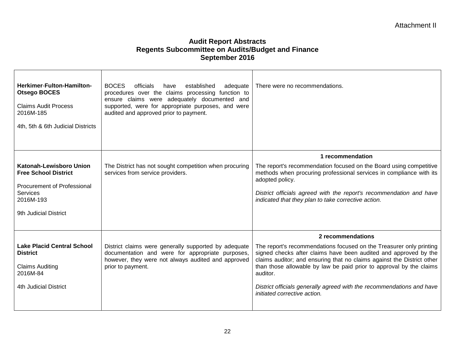| Herkimer-Fulton-Hamilton-<br><b>Otsego BOCES</b><br><b>Claims Audit Process</b><br>2016M-185<br>4th, 5th & 6th Judicial Districts                     | <b>BOCES</b><br>officials<br>established<br>have<br>adequate<br>procedures over the claims processing function to<br>ensure claims were adequately documented and<br>supported, were for appropriate purposes, and were<br>audited and approved prior to payment. | There were no recommendations.                                                                                                                                                                                                                                                                                                                                                                                |
|-------------------------------------------------------------------------------------------------------------------------------------------------------|-------------------------------------------------------------------------------------------------------------------------------------------------------------------------------------------------------------------------------------------------------------------|---------------------------------------------------------------------------------------------------------------------------------------------------------------------------------------------------------------------------------------------------------------------------------------------------------------------------------------------------------------------------------------------------------------|
|                                                                                                                                                       |                                                                                                                                                                                                                                                                   | 1 recommendation                                                                                                                                                                                                                                                                                                                                                                                              |
| <b>Katonah-Lewisboro Union</b><br><b>Free School District</b><br><b>Procurement of Professional</b><br>Services<br>2016M-193<br>9th Judicial District | The District has not sought competition when procuring<br>services from service providers.                                                                                                                                                                        | The report's recommendation focused on the Board using competitive<br>methods when procuring professional services in compliance with its<br>adopted policy.<br>District officials agreed with the report's recommendation and have<br>indicated that they plan to take corrective action.                                                                                                                    |
|                                                                                                                                                       |                                                                                                                                                                                                                                                                   | 2 recommendations                                                                                                                                                                                                                                                                                                                                                                                             |
| <b>Lake Placid Central School</b><br><b>District</b><br><b>Claims Auditing</b><br>2016M-84<br>4th Judicial District                                   | District claims were generally supported by adequate<br>documentation and were for appropriate purposes,<br>however, they were not always audited and approved<br>prior to payment.                                                                               | The report's recommendations focused on the Treasurer only printing<br>signed checks after claims have been audited and approved by the<br>claims auditor; and ensuring that no claims against the District other<br>than those allowable by law be paid prior to approval by the claims<br>auditor.<br>District officials generally agreed with the recommendations and have<br>initiated corrective action. |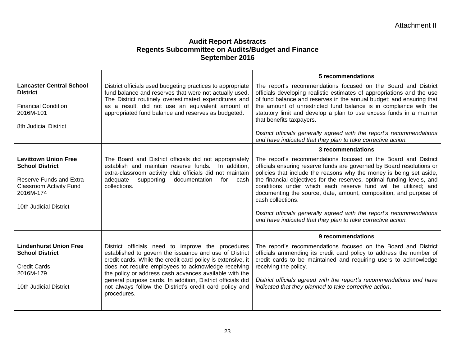|                                                                                                                                                           |                                                                                                                                                                                                                                                                                                                                                                                                                                     | 5 recommendations                                                                                                                                                                                                                                                                                                                                                                                                                                                                                                                                                                             |
|-----------------------------------------------------------------------------------------------------------------------------------------------------------|-------------------------------------------------------------------------------------------------------------------------------------------------------------------------------------------------------------------------------------------------------------------------------------------------------------------------------------------------------------------------------------------------------------------------------------|-----------------------------------------------------------------------------------------------------------------------------------------------------------------------------------------------------------------------------------------------------------------------------------------------------------------------------------------------------------------------------------------------------------------------------------------------------------------------------------------------------------------------------------------------------------------------------------------------|
| <b>Lancaster Central School</b><br><b>District</b><br><b>Financial Condition</b><br>2016M-101<br>8th Judicial District                                    | District officials used budgeting practices to appropriate<br>fund balance and reserves that were not actually used.<br>The District routinely overestimated expenditures and<br>as a result, did not use an equivalent amount of<br>appropriated fund balance and reserves as budgeted.                                                                                                                                            | The report's recommendations focused on the Board and District<br>officials developing realistic estimates of appropriations and the use<br>of fund balance and reserves in the annual budget; and ensuring that<br>the amount of unrestricted fund balance is in compliance with the<br>statutory limit and develop a plan to use excess funds in a manner<br>that benefits taxpayers.                                                                                                                                                                                                       |
|                                                                                                                                                           |                                                                                                                                                                                                                                                                                                                                                                                                                                     | District officials generally agreed with the report's recommendations<br>and have indicated that they plan to take corrective action.                                                                                                                                                                                                                                                                                                                                                                                                                                                         |
|                                                                                                                                                           |                                                                                                                                                                                                                                                                                                                                                                                                                                     | 3 recommendations                                                                                                                                                                                                                                                                                                                                                                                                                                                                                                                                                                             |
| <b>Levittown Union Free</b><br><b>School District</b><br>Reserve Funds and Extra<br><b>Classroom Activity Fund</b><br>2016M-174<br>10th Judicial District | The Board and District officials did not appropriately<br>establish and maintain reserve funds.<br>In addition,<br>extra-classroom activity club officials did not maintain<br>adequate<br>supporting<br>documentation<br>cash<br>for<br>collections.                                                                                                                                                                               | The report's recommendations focused on the Board and District<br>officials ensuring reserve funds are governed by Board resolutions or<br>policies that include the reasons why the money is being set aside,<br>the financial objectives for the reserves, optimal funding levels, and<br>conditions under which each reserve fund will be utilized; and<br>documenting the source, date, amount, composition, and purpose of<br>cash collections.<br>District officials generally agreed with the report's recommendations<br>and have indicated that they plan to take corrective action. |
|                                                                                                                                                           |                                                                                                                                                                                                                                                                                                                                                                                                                                     | 9 recommendations                                                                                                                                                                                                                                                                                                                                                                                                                                                                                                                                                                             |
| <b>Lindenhurst Union Free</b><br><b>School District</b><br><b>Credit Cards</b><br>2016M-179<br>10th Judicial District                                     | District officials need to improve the procedures<br>established to govern the issuance and use of District<br>credit cards. While the credit card policy is extensive, it<br>does not require employees to acknowledge receiving<br>the policy or address cash advances available with the<br>general purpose cards. In addition, District officials did<br>not always follow the District's credit card policy and<br>procedures. | The report's recommendations focused on the Board and District<br>officials ammending its credit card policy to address the number of<br>credit cards to be maintained and requiring users to acknowledge<br>receiving the policy.<br>District officials agreed with the report's recommendations and have<br>indicated that they planned to take corrective action.                                                                                                                                                                                                                          |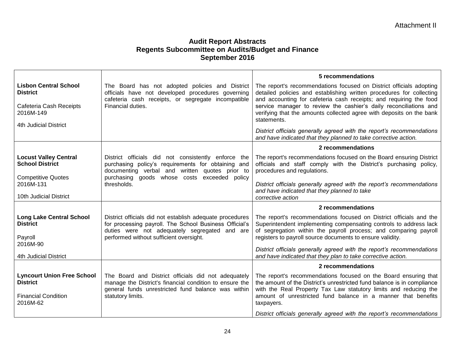|                                                                                                |                                                                                                                                                                                                                | 5 recommendations                                                                                                                                                                                                                                                                             |
|------------------------------------------------------------------------------------------------|----------------------------------------------------------------------------------------------------------------------------------------------------------------------------------------------------------------|-----------------------------------------------------------------------------------------------------------------------------------------------------------------------------------------------------------------------------------------------------------------------------------------------|
| <b>Lisbon Central School</b><br><b>District</b>                                                | The Board has not adopted policies and District<br>officials have not developed procedures governing<br>cafeteria cash receipts, or segregate incompatible                                                     | The report's recommendations focused on District officials adopting<br>detailed policies and establishing written procedures for collecting<br>and accounting for cafeteria cash receipts; and requiring the food                                                                             |
| Cafeteria Cash Receipts<br>2016M-149                                                           | Financial duties.                                                                                                                                                                                              | service manager to review the cashier's daily reconciliations and<br>verifying that the amounts collected agree with deposits on the bank<br>statements.                                                                                                                                      |
| 4th Judicial District                                                                          |                                                                                                                                                                                                                | District officials generally agreed with the report's recommendations<br>and have indicated that they planned to take corrective action.                                                                                                                                                      |
|                                                                                                |                                                                                                                                                                                                                | 2 recommendations                                                                                                                                                                                                                                                                             |
| <b>Locust Valley Central</b><br><b>School District</b>                                         | District officials did not consistently enforce the<br>purchasing policy's requirements for obtaining and<br>documenting verbal and written quotes prior to<br>purchasing goods whose costs exceeded policy    | The report's recommendations focused on the Board ensuring District<br>officials and staff comply with the District's purchasing policy,<br>procedures and regulations.                                                                                                                       |
| <b>Competitive Quotes</b><br>2016M-131<br>10th Judicial District                               | thresholds.                                                                                                                                                                                                    | District officials generally agreed with the report's recommendations<br>and have indicated that they planned to take<br>corrective action                                                                                                                                                    |
|                                                                                                |                                                                                                                                                                                                                | 2 recommendations                                                                                                                                                                                                                                                                             |
| <b>Long Lake Central School</b><br><b>District</b><br>Payroll                                  | District officials did not establish adequate procedures<br>for processing payroll. The School Business Official's<br>duties were not adequately segregated and are<br>performed without sufficient oversight. | The report's recommendations focused on District officials and the<br>Superintendent implementing compensating controls to address lack<br>of segregation within the payroll process; and comparing payroll<br>registers to payroll source documents to ensure validity.                      |
| 2016M-90<br>4th Judicial District                                                              |                                                                                                                                                                                                                | District officials generally agreed with the report's recommendations<br>and have indicated that they plan to take corrective action.                                                                                                                                                         |
|                                                                                                |                                                                                                                                                                                                                | 2 recommendations                                                                                                                                                                                                                                                                             |
| <b>Lyncourt Union Free School</b><br><b>District</b><br><b>Financial Condition</b><br>2016M-62 | The Board and District officials did not adequately<br>manage the District's financial condition to ensure the<br>general funds unrestricted fund balance was within<br>statutory limits.                      | The report's recommendations focused on the Board ensuring that<br>the amount of the District's unrestricted fund balance is in compliance<br>with the Real Property Tax Law statutory limits and reducing the<br>amount of unrestricted fund balance in a manner that benefits<br>taxpayers. |
|                                                                                                |                                                                                                                                                                                                                | District officials generally agreed with the report's recommendations                                                                                                                                                                                                                         |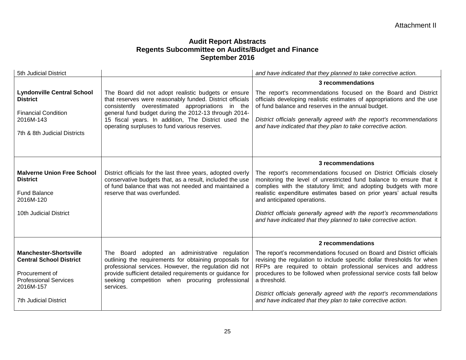| 5th Judicial District                                                                                                                                          |                                                                                                                                                                                                                                                                                                                                     | and have indicated that they planned to take corrective action.                                                                                                                                                                                                                                                                                                                                                                                                   |
|----------------------------------------------------------------------------------------------------------------------------------------------------------------|-------------------------------------------------------------------------------------------------------------------------------------------------------------------------------------------------------------------------------------------------------------------------------------------------------------------------------------|-------------------------------------------------------------------------------------------------------------------------------------------------------------------------------------------------------------------------------------------------------------------------------------------------------------------------------------------------------------------------------------------------------------------------------------------------------------------|
|                                                                                                                                                                |                                                                                                                                                                                                                                                                                                                                     | 3 recommendations                                                                                                                                                                                                                                                                                                                                                                                                                                                 |
| <b>Lyndonville Central School</b><br><b>District</b><br><b>Financial Condition</b><br>2016M-143<br>7th & 8th Judicial Districts                                | The Board did not adopt realistic budgets or ensure<br>that reserves were reasonably funded. District officials<br>consistently overestimated appropriations in the<br>general fund budget during the 2012-13 through 2014-<br>15 fiscal years. In addition, The District used the<br>operating surpluses to fund various reserves. | The report's recommendations focused on the Board and District<br>officials developing realistic estimates of appropriations and the use<br>of fund balance and reserves in the annual budget.<br>District officials generally agreed with the report's recommendations<br>and have indicated that they plan to take corrective action.                                                                                                                           |
|                                                                                                                                                                |                                                                                                                                                                                                                                                                                                                                     | 3 recommendations                                                                                                                                                                                                                                                                                                                                                                                                                                                 |
| <b>Malverne Union Free School</b><br><b>District</b><br><b>Fund Balance</b><br>2016M-120<br>10th Judicial District                                             | District officials for the last three years, adopted overly<br>conservative budgets that, as a result, included the use<br>of fund balance that was not needed and maintained a<br>reserve that was overfunded.                                                                                                                     | The report's recommendations focused on District Officials closely<br>monitoring the level of unrestricted fund balance to ensure that it<br>complies with the statutory limit; and adopting budgets with more<br>realistic expenditure estimates based on prior years' actual results<br>and anticipated operations.<br>District officials generally agreed with the report's recommendations<br>and have indicated that they planned to take corrective action. |
|                                                                                                                                                                |                                                                                                                                                                                                                                                                                                                                     | 2 recommendations                                                                                                                                                                                                                                                                                                                                                                                                                                                 |
| <b>Manchester-Shortsville</b><br><b>Central School District</b><br>Procurement of<br><b>Professional Services</b><br>2016M-157<br><b>7th Judicial District</b> | The Board adopted an administrative regulation<br>outlining the requirements for obtaining proposals for<br>professional services. However, the regulation did not<br>provide sufficient detailed requirements or guidance for<br>seeking competition when procuring professional<br>services.                                      | The report's recommendations focused on Board and District officials<br>revising the regulation to include specific dollar thresholds for when<br>RFPs are required to obtain professional services and address<br>procedures to be followed when professional service costs fall below<br>a threshold.<br>District officials generally agreed with the report's recommendations<br>and have indicated that they plan to take corrective action.                  |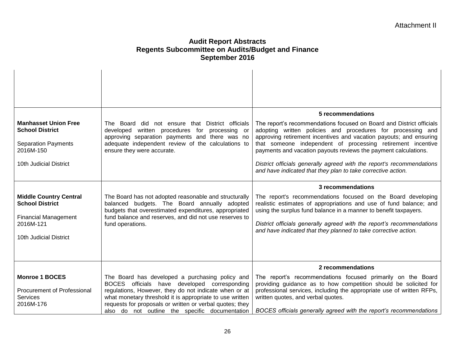| <b>Manhasset Union Free</b><br><b>School District</b><br><b>Separation Payments</b><br>2016M-150<br>10th Judicial District<br><b>Middle Country Central</b><br><b>School District</b><br><b>Financial Management</b><br>2016M-121 | The Board did not ensure that District officials<br>developed written procedures for processing or<br>approving separation payments and there was no<br>adequate independent review of the calculations to<br>ensure they were accurate.<br>The Board has not adopted reasonable and structurally<br>balanced budgets. The Board annually adopted<br>budgets that overestimated expenditures, appropriated<br>fund balance and reserves, and did not use reserves to<br>fund operations. | 5 recommendations<br>The report's recommendations focused on Board and District officials<br>adopting written policies and procedures for processing and<br>approving retirement incentives and vacation payouts; and ensuring<br>that someone independent of processing retirement incentive<br>payments and vacation payouts reviews the payment calculations.<br>District officials generally agreed with the report's recommendations<br>and have indicated that they plan to take corrective action.<br>3 recommendations<br>The report's recommendations focused on the Board developing<br>realistic estimates of appropriations and use of fund balance; and<br>using the surplus fund balance in a manner to benefit taxpayers.<br>District officials generally agreed with the report's recommendations<br>and have indicated that they planned to take corrective action. |
|-----------------------------------------------------------------------------------------------------------------------------------------------------------------------------------------------------------------------------------|------------------------------------------------------------------------------------------------------------------------------------------------------------------------------------------------------------------------------------------------------------------------------------------------------------------------------------------------------------------------------------------------------------------------------------------------------------------------------------------|--------------------------------------------------------------------------------------------------------------------------------------------------------------------------------------------------------------------------------------------------------------------------------------------------------------------------------------------------------------------------------------------------------------------------------------------------------------------------------------------------------------------------------------------------------------------------------------------------------------------------------------------------------------------------------------------------------------------------------------------------------------------------------------------------------------------------------------------------------------------------------------|
| 10th Judicial District                                                                                                                                                                                                            |                                                                                                                                                                                                                                                                                                                                                                                                                                                                                          |                                                                                                                                                                                                                                                                                                                                                                                                                                                                                                                                                                                                                                                                                                                                                                                                                                                                                      |
|                                                                                                                                                                                                                                   |                                                                                                                                                                                                                                                                                                                                                                                                                                                                                          | 2 recommendations                                                                                                                                                                                                                                                                                                                                                                                                                                                                                                                                                                                                                                                                                                                                                                                                                                                                    |
| <b>Monroe 1 BOCES</b><br><b>Procurement of Professional</b><br>Services<br>2016M-176                                                                                                                                              | The Board has developed a purchasing policy and<br>BOCES officials have developed corresponding<br>regulations, However, they do not indicate when or at<br>what monetary threshold it is appropriate to use written                                                                                                                                                                                                                                                                     | The report's recommendations focused primarily on the Board<br>providing guidance as to how competition should be solicited for<br>professional services, including the appropriate use of written RFPs,<br>written quotes, and verbal quotes.                                                                                                                                                                                                                                                                                                                                                                                                                                                                                                                                                                                                                                       |
|                                                                                                                                                                                                                                   | requests for proposals or written or verbal quotes; they<br>also do not outline the specific documentation                                                                                                                                                                                                                                                                                                                                                                               | BOCES officials generally agreed with the report's recommendations                                                                                                                                                                                                                                                                                                                                                                                                                                                                                                                                                                                                                                                                                                                                                                                                                   |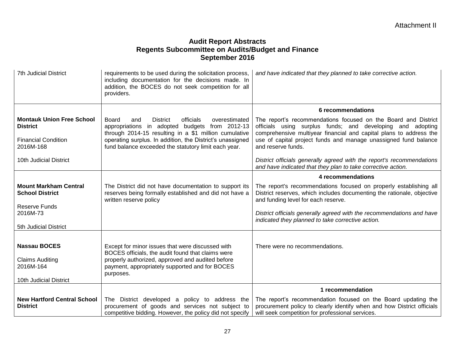| <b>7th Judicial District</b>                           | requirements to be used during the solicitation process,<br>including documentation for the decisions made. In<br>addition, the BOCES do not seek competition for all<br>providers. | and have indicated that they planned to take corrective action.                                                                                                                                    |
|--------------------------------------------------------|-------------------------------------------------------------------------------------------------------------------------------------------------------------------------------------|----------------------------------------------------------------------------------------------------------------------------------------------------------------------------------------------------|
|                                                        |                                                                                                                                                                                     | 6 recommendations                                                                                                                                                                                  |
| <b>Montauk Union Free School</b><br><b>District</b>    | <b>District</b><br>officials<br>Board<br>overestimated<br>and<br>appropriations in adopted budgets from 2012-13<br>through 2014-15 resulting in a \$1 million cumulative            | The report's recommendations focused on the Board and District<br>officials using surplus funds; and developing and adopting<br>comprehensive multiyear financial and capital plans to address the |
| <b>Financial Condition</b><br>2016M-168                | operating surplus. In addition, the District's unassigned<br>fund balance exceeded the statutory limit each year.                                                                   | use of capital project funds and manage unassigned fund balance<br>and reserve funds.                                                                                                              |
| 10th Judicial District                                 |                                                                                                                                                                                     | District officials generally agreed with the report's recommendations<br>and have indicated that they plan to take corrective action.                                                              |
|                                                        |                                                                                                                                                                                     | 4 recommendations                                                                                                                                                                                  |
| <b>Mount Markham Central</b><br><b>School District</b> | The District did not have documentation to support its<br>reserves being formally established and did not have a<br>written reserve policy                                          | The report's recommendations focused on properly establishing all<br>District reserves, which includes documenting the rationale, objective<br>and funding level for each reserve.                 |
| <b>Reserve Funds</b><br>2016M-73                       |                                                                                                                                                                                     | District officials generally agreed with the recommendations and have<br>indicated they planned to take corrective action.                                                                         |
| 5th Judicial District                                  |                                                                                                                                                                                     |                                                                                                                                                                                                    |
| <b>Nassau BOCES</b><br><b>Claims Auditing</b>          | Except for minor issues that were discussed with<br>BOCES officials, the audit found that claims were<br>properly authorized, approved and audited before                           | There were no recommendations.                                                                                                                                                                     |
| 2016M-164                                              | payment, appropriately supported and for BOCES<br>purposes.                                                                                                                         |                                                                                                                                                                                                    |
| 10th Judicial District                                 |                                                                                                                                                                                     |                                                                                                                                                                                                    |
|                                                        |                                                                                                                                                                                     | 1 recommendation                                                                                                                                                                                   |
| <b>New Hartford Central School</b><br><b>District</b>  | The District developed a policy to address the<br>procurement of goods and services not subject to<br>competitive bidding. However, the policy did not specify                      | The report's recommendation focused on the Board updating the<br>procurement policy to clearly identify when and how District officials<br>will seek competition for professional services.        |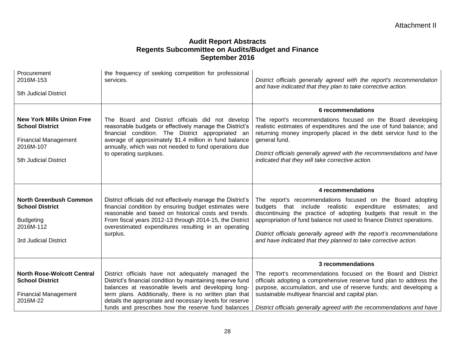| Procurement<br>2016M-153<br>5th Judicial District                                                                               | the frequency of seeking competition for professional<br>services.                                                                                                                                                                                                                                                                                  | District officials generally agreed with the report's recommendation<br>and have indicated that they plan to take corrective action.                                                                                                                                                                                                                                                                                                       |
|---------------------------------------------------------------------------------------------------------------------------------|-----------------------------------------------------------------------------------------------------------------------------------------------------------------------------------------------------------------------------------------------------------------------------------------------------------------------------------------------------|--------------------------------------------------------------------------------------------------------------------------------------------------------------------------------------------------------------------------------------------------------------------------------------------------------------------------------------------------------------------------------------------------------------------------------------------|
| <b>New York Mills Union Free</b><br><b>School District</b><br><b>Financial Management</b><br>2016M-107<br>5th Judicial District | The Board and District officials did not develop<br>reasonable budgets or effectively manage the District's<br>financial condition. The District appropriated an<br>average of approximately \$1.4 million in fund balance<br>annually, which was not needed to fund operations due<br>to operating surpluses.                                      | 6 recommendations<br>The report's recommendations focused on the Board developing<br>realistic estimates of expenditures and the use of fund balance; and<br>returning money improperly placed in the debt service fund to the<br>general fund.<br>District officials generally agreed with the recommendations and have<br>indicated that they will take corrective action.                                                               |
| <b>North Greenbush Common</b><br><b>School District</b><br><b>Budgeting</b><br>2016M-112<br>3rd Judicial District               | District officials did not effectively manage the District's<br>financial condition by ensuring budget estimates were<br>reasonable and based on historical costs and trends.<br>From fiscal years 2012-13 through 2014-15, the District<br>overestimated expenditures resulting in an operating<br>surplus.                                        | 4 recommendations<br>The report's recommendations focused on the Board adopting<br>budgets that include realistic expenditure<br>estimates; and<br>discontinuing the practice of adopting budgets that result in the<br>appropriation of fund balance not used to finance District operations.<br>District officials generally agreed with the report's recommendations<br>and have indicated that they planned to take corrective action. |
| <b>North Rose-Wolcott Central</b><br><b>School District</b><br><b>Financial Management</b><br>2016M-22                          | District officials have not adequately managed the<br>District's financial condition by maintaining reserve fund<br>balances at reasonable levels and developing long-<br>term plans. Additionally, there is no written plan that<br>details the appropriate and necessary levels for reserve<br>funds and prescribes how the reserve fund balances | 3 recommendations<br>The report's recommendations focused on the Board and District<br>officials adopting a comprehensive reserve fund plan to address the<br>purpose, accumulation, and use of reserve funds; and developing a<br>sustainable multiyear financial and capital plan.<br>District officials generally agreed with the recommendations and have                                                                              |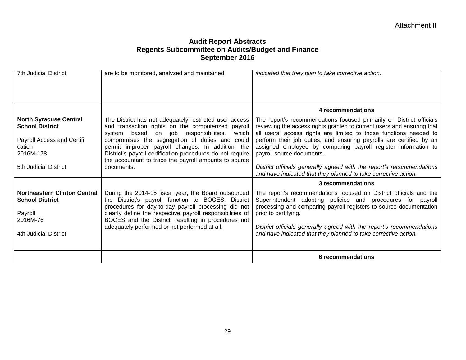| 7th Judicial District                                                                                         | are to be monitored, analyzed and maintained.                                                                                                                                                                                                                                                                                                                                                 | indicated that they plan to take corrective action.                                                                                                                                                                                                                                                                                                                                       |
|---------------------------------------------------------------------------------------------------------------|-----------------------------------------------------------------------------------------------------------------------------------------------------------------------------------------------------------------------------------------------------------------------------------------------------------------------------------------------------------------------------------------------|-------------------------------------------------------------------------------------------------------------------------------------------------------------------------------------------------------------------------------------------------------------------------------------------------------------------------------------------------------------------------------------------|
|                                                                                                               |                                                                                                                                                                                                                                                                                                                                                                                               | 4 recommendations                                                                                                                                                                                                                                                                                                                                                                         |
| <b>North Syracuse Central</b><br><b>School District</b><br>Payroll Access and Certifi<br>cation<br>2016M-178  | The District has not adequately restricted user access<br>and transaction rights on the computerized payroll<br>system based on job responsibilities,<br>which<br>compromises the segregation of duties and could<br>permit improper payroll changes. In addition, the<br>District's payroll certification procedures do not require<br>the accountant to trace the payroll amounts to source | The report's recommendations focused primarily on District officials<br>reviewing the access rights granted to current users and ensuring that<br>all users' access rights are limited to those functions needed to<br>perform their job duties; and ensuring payrolls are certified by an<br>assigned employee by comparing payroll register information to<br>payroll source documents. |
| 5th Judicial District                                                                                         | documents.                                                                                                                                                                                                                                                                                                                                                                                    | District officials generally agreed with the report's recommendations<br>and have indicated that they planned to take corrective action.                                                                                                                                                                                                                                                  |
|                                                                                                               |                                                                                                                                                                                                                                                                                                                                                                                               | 3 recommendations                                                                                                                                                                                                                                                                                                                                                                         |
| <b>Northeastern Clinton Central</b><br><b>School District</b><br>Payroll<br>2016M-76<br>4th Judicial District | During the 2014-15 fiscal year, the Board outsourced<br>the District's payroll function to BOCES. District<br>procedures for day-to-day payroll processing did not<br>clearly define the respective payroll responsibilities of<br>BOCES and the District; resulting in procedures not<br>adequately performed or not performed at all.                                                       | The report's recommendations focused on District officials and the<br>Superintendent adopting policies and procedures for payroll<br>processing and comparing payroll registers to source documentation<br>prior to certifying.<br>District officials generally agreed with the report's recommendations<br>and have indicated that they planned to take corrective action.               |
|                                                                                                               |                                                                                                                                                                                                                                                                                                                                                                                               | 6 recommendations                                                                                                                                                                                                                                                                                                                                                                         |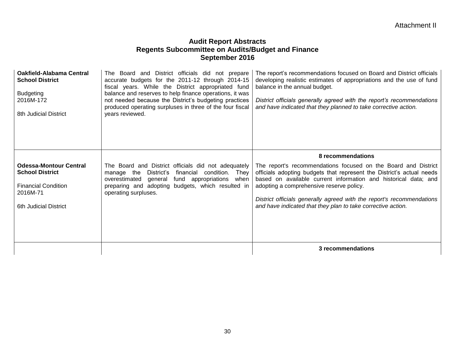| <b>Oakfield-Alabama Central</b><br><b>School District</b><br><b>Budgeting</b><br>2016M-172<br>8th Judicial District        | The Board and District officials did not prepare<br>accurate budgets for the 2011-12 through 2014-15<br>fiscal years. While the District appropriated fund<br>balance and reserves to help finance operations, it was<br>not needed because the District's budgeting practices<br>produced operating surpluses in three of the four fiscal<br>years reviewed. | The report's recommendations focused on Board and District officials<br>developing realistic estimates of appropriations and the use of fund<br>balance in the annual budget.<br>District officials generally agreed with the report's recommendations<br>and have indicated that they planned to take corrective action.                                                                       |
|----------------------------------------------------------------------------------------------------------------------------|---------------------------------------------------------------------------------------------------------------------------------------------------------------------------------------------------------------------------------------------------------------------------------------------------------------------------------------------------------------|-------------------------------------------------------------------------------------------------------------------------------------------------------------------------------------------------------------------------------------------------------------------------------------------------------------------------------------------------------------------------------------------------|
|                                                                                                                            |                                                                                                                                                                                                                                                                                                                                                               | 8 recommendations                                                                                                                                                                                                                                                                                                                                                                               |
| <b>Odessa-Montour Central</b><br><b>School District</b><br><b>Financial Condition</b><br>2016M-71<br>6th Judicial District | The Board and District officials did not adequately<br>financial condition. They<br>manage the District's<br>overestimated general<br>fund appropriations when<br>preparing and adopting budgets, which resulted in<br>operating surpluses.                                                                                                                   | The report's recommendations focused on the Board and District<br>officials adopting budgets that represent the District's actual needs<br>based on available current information and historical data; and<br>adopting a comprehensive reserve policy.<br>District officials generally agreed with the report's recommendations<br>and have indicated that they plan to take corrective action. |
|                                                                                                                            |                                                                                                                                                                                                                                                                                                                                                               | 3 recommendations                                                                                                                                                                                                                                                                                                                                                                               |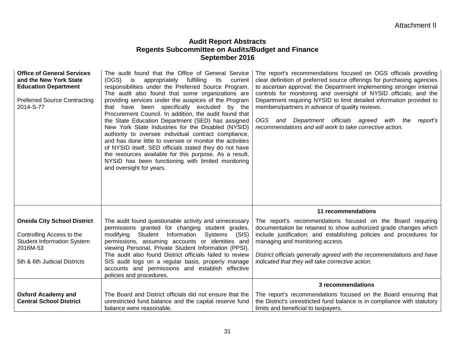| <b>Office of General Services</b><br>and the New York State<br><b>Education Department</b><br><b>Preferred Source Contracting</b><br>2014-S-77   | The audit found that the Office of General Service<br>(OGS)<br>is<br>appropriately<br>fulfilling<br>its<br>current<br>responsibilities under the Preferred Source Program.<br>The audit also found that some organizations are<br>providing services under the auspices of the Program<br>that have been specifically excluded by the<br>Procurement Council. In addition, the audit found that<br>the State Education Department (SED) has assigned<br>New York State Industries for the Disabled (NYSID)<br>authority to oversee individual contract compliance,<br>and has done little to oversee or monitor the activities<br>of NYSID itself. SED officials stated they do not have<br>the resources available for this purpose. As a result,<br>NYSID has been functioning with limited monitoring<br>and oversight for years. | The report's recommendations focused on OGS officials providing<br>clear definition of preferred source offerings for purchasing agencies<br>to ascertain approval; the Department implementing stronger internal<br>controls for monitoring and oversight of NYSID officials; and the<br>Department requiring NYSID to limit detailed information provided to<br>members/partners in advance of quality reviews.<br>OGS and Department officials agreed with the report's<br>recommendations and will work to take corrective action. |
|--------------------------------------------------------------------------------------------------------------------------------------------------|--------------------------------------------------------------------------------------------------------------------------------------------------------------------------------------------------------------------------------------------------------------------------------------------------------------------------------------------------------------------------------------------------------------------------------------------------------------------------------------------------------------------------------------------------------------------------------------------------------------------------------------------------------------------------------------------------------------------------------------------------------------------------------------------------------------------------------------|----------------------------------------------------------------------------------------------------------------------------------------------------------------------------------------------------------------------------------------------------------------------------------------------------------------------------------------------------------------------------------------------------------------------------------------------------------------------------------------------------------------------------------------|
|                                                                                                                                                  |                                                                                                                                                                                                                                                                                                                                                                                                                                                                                                                                                                                                                                                                                                                                                                                                                                      | 11 recommendations                                                                                                                                                                                                                                                                                                                                                                                                                                                                                                                     |
| <b>Oneida City School District</b><br>Controlling Access to the<br><b>Student Information System</b><br>2016M-53<br>5th & 6th Judicial Districts | The audit found questionable activity and unnecessary<br>permissions granted for changing student grades,<br>modifying Student Information<br>Systems<br>(SIS)<br>permissions, assuming accounts or identities and<br>viewing Personal, Private Student Information (PPSI).<br>The audit also found District officials failed to review<br>SIS audit logs on a regular basis, properly manage<br>accounts and permissions and establish effective<br>policies and procedures.                                                                                                                                                                                                                                                                                                                                                        | The report's recommendations focused on the Board requiring<br>documentation be retained to show authorized grade changes which<br>include justification; and establishing policies and procedures for<br>managing and monitoring access.<br>District officials generally agreed with the recommendations and have<br>indicated that they will take corrective action.                                                                                                                                                                 |
|                                                                                                                                                  |                                                                                                                                                                                                                                                                                                                                                                                                                                                                                                                                                                                                                                                                                                                                                                                                                                      | 3 recommendations                                                                                                                                                                                                                                                                                                                                                                                                                                                                                                                      |
| <b>Oxford Academy and</b><br><b>Central School District</b>                                                                                      | The Board and District officials did not ensure that the<br>unrestricted fund balance and the capital reserve fund<br>balance were reasonable.                                                                                                                                                                                                                                                                                                                                                                                                                                                                                                                                                                                                                                                                                       | The report's recommendations focused on the Board ensuring that<br>the District's unrestricted fund balance is in compliance with statutory<br>limits and beneficial to taxpayers.                                                                                                                                                                                                                                                                                                                                                     |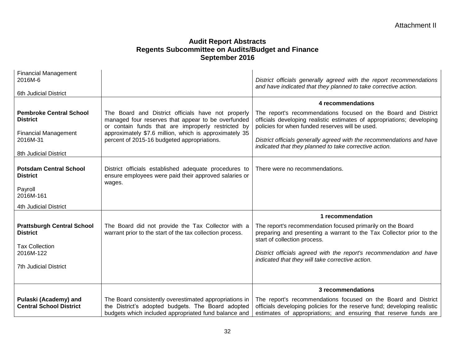| <b>Financial Management</b><br>2016M-6<br>6th Judicial District                  |                                                                                                                                                                                                                          | District officials generally agreed with the report recommendations<br>and have indicated that they planned to take corrective action.                                                                         |
|----------------------------------------------------------------------------------|--------------------------------------------------------------------------------------------------------------------------------------------------------------------------------------------------------------------------|----------------------------------------------------------------------------------------------------------------------------------------------------------------------------------------------------------------|
|                                                                                  |                                                                                                                                                                                                                          | 4 recommendations                                                                                                                                                                                              |
| <b>Pembroke Central School</b><br><b>District</b><br><b>Financial Management</b> | The Board and District officials have not properly<br>managed four reserves that appear to be overfunded<br>or contain funds that are improperly restricted by<br>approximately \$7.6 million, which is approximately 35 | The report's recommendations focused on the Board and District<br>officials developing realistic estimates of appropriations; developing<br>policies for when funded reserves will be used.                    |
| 2016M-31                                                                         | percent of 2015-16 budgeted appropriations.                                                                                                                                                                              | District officials generally agreed with the recommendations and have<br>indicated that they planned to take corrective action.                                                                                |
| 8th Judicial District                                                            |                                                                                                                                                                                                                          |                                                                                                                                                                                                                |
| <b>Potsdam Central School</b><br><b>District</b>                                 | District officials established adequate procedures to<br>ensure employees were paid their approved salaries or<br>wages.                                                                                                 | There were no recommendations.                                                                                                                                                                                 |
| Payroll<br>2016M-161                                                             |                                                                                                                                                                                                                          |                                                                                                                                                                                                                |
| <b>4th Judicial District</b>                                                     |                                                                                                                                                                                                                          |                                                                                                                                                                                                                |
|                                                                                  |                                                                                                                                                                                                                          | 1 recommendation                                                                                                                                                                                               |
| <b>Prattsburgh Central School</b><br><b>District</b><br><b>Tax Collection</b>    | The Board did not provide the Tax Collector with a<br>warrant prior to the start of the tax collection process.                                                                                                          | The report's recommendation focused primarily on the Board<br>preparing and presenting a warrant to the Tax Collector prior to the<br>start of collection process.                                             |
| 2016M-122                                                                        |                                                                                                                                                                                                                          | District officials agreed with the report's recommendation and have<br>indicated that they will take corrective action.                                                                                        |
| <b>7th Judicial District</b>                                                     |                                                                                                                                                                                                                          |                                                                                                                                                                                                                |
|                                                                                  |                                                                                                                                                                                                                          |                                                                                                                                                                                                                |
|                                                                                  |                                                                                                                                                                                                                          | 3 recommendations                                                                                                                                                                                              |
| Pulaski (Academy) and<br><b>Central School District</b>                          | The Board consistently overestimated appropriations in<br>the District's adopted budgets. The Board adopted<br>budgets which included appropriated fund balance and                                                      | The report's recommendations focused on the Board and District<br>officials developing policies for the reserve fund; developing realistic<br>estimates of appropriations; and ensuring that reserve funds are |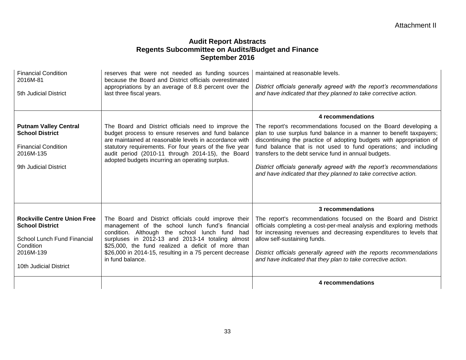|                                                                                                                            |                                                                                                                                                                                                                                                                                                                                         | 4 recommendations                                                                                                                                                                                                                                                                                                                                                                                                                                                                    |
|----------------------------------------------------------------------------------------------------------------------------|-----------------------------------------------------------------------------------------------------------------------------------------------------------------------------------------------------------------------------------------------------------------------------------------------------------------------------------------|--------------------------------------------------------------------------------------------------------------------------------------------------------------------------------------------------------------------------------------------------------------------------------------------------------------------------------------------------------------------------------------------------------------------------------------------------------------------------------------|
| Condition<br>2016M-139<br>10th Judicial District                                                                           | \$25,000, the fund realized a deficit of more than<br>\$26,000 in 2014-15, resulting in a 75 percent decrease<br>in fund balance.                                                                                                                                                                                                       | District officials generally agreed with the reports recommendations<br>and have indicated that they plan to take corrective action.                                                                                                                                                                                                                                                                                                                                                 |
| <b>Rockville Centre Union Free</b><br><b>School District</b><br>School Lunch Fund Financial                                | The Board and District officials could improve their<br>management of the school lunch fund's financial<br>condition. Although the school lunch fund had<br>surpluses in 2012-13 and 2013-14 totaling almost                                                                                                                            | 3 recommendations<br>The report's recommendations focused on the Board and District<br>officials completing a cost-per-meal analysis and exploring methods<br>for increasing revenues and decreasing expenditures to levels that<br>allow self-sustaining funds.                                                                                                                                                                                                                     |
|                                                                                                                            |                                                                                                                                                                                                                                                                                                                                         |                                                                                                                                                                                                                                                                                                                                                                                                                                                                                      |
| <b>Putnam Valley Central</b><br><b>School District</b><br><b>Financial Condition</b><br>2016M-135<br>9th Judicial District | The Board and District officials need to improve the<br>budget process to ensure reserves and fund balance<br>are maintained at reasonable levels in accordance with<br>statutory requirements. For four years of the five year<br>audit period (2010-11 through 2014-15), the Board<br>adopted budgets incurring an operating surplus. | The report's recommendations focused on the Board developing a<br>plan to use surplus fund balance in a manner to benefit taxpayers;<br>discontinuing the practice of adopting budgets with appropriation of<br>fund balance that is not used to fund operations; and including<br>transfers to the debt service fund in annual budgets.<br>District officials generally agreed with the report's recommendations<br>and have indicated that they planned to take corrective action. |
|                                                                                                                            |                                                                                                                                                                                                                                                                                                                                         | 4 recommendations                                                                                                                                                                                                                                                                                                                                                                                                                                                                    |
| 2016M-81<br>5th Judicial District                                                                                          | because the Board and District officials overestimated<br>appropriations by an average of 8.8 percent over the<br>last three fiscal years.                                                                                                                                                                                              | District officials generally agreed with the report's recommendations<br>and have indicated that they planned to take corrective action.                                                                                                                                                                                                                                                                                                                                             |
| <b>Financial Condition</b>                                                                                                 | reserves that were not needed as funding sources                                                                                                                                                                                                                                                                                        | maintained at reasonable levels.                                                                                                                                                                                                                                                                                                                                                                                                                                                     |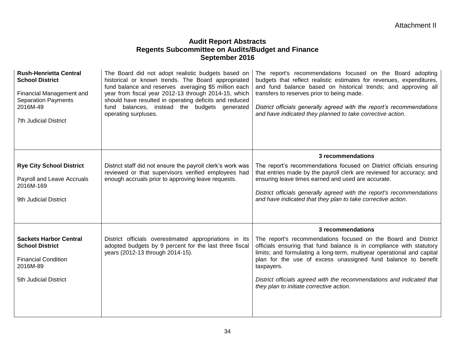| <b>Rush-Henrietta Central</b><br><b>School District</b><br>Financial Management and<br><b>Separation Payments</b><br>2016M-49<br><b>7th Judicial District</b> | The Board did not adopt realistic budgets based on<br>historical or known trends. The Board appropriated<br>fund balance and reserves averaging \$5 million each<br>year from fiscal year 2012-13 through 2014-15, which<br>should have resulted in operating deficits and reduced<br>fund balances, instead the budgets generated<br>operating surpluses. | The report's recommendations focused on the Board adopting<br>budgets that reflect realistic estimates for revenues, expenditures,<br>and fund balance based on historical trends; and approving all<br>transfers to reserves prior to being made.<br>District officials generally agreed with the report's recommendations<br>and have indicated they planned to take corrective action.                            |
|---------------------------------------------------------------------------------------------------------------------------------------------------------------|------------------------------------------------------------------------------------------------------------------------------------------------------------------------------------------------------------------------------------------------------------------------------------------------------------------------------------------------------------|----------------------------------------------------------------------------------------------------------------------------------------------------------------------------------------------------------------------------------------------------------------------------------------------------------------------------------------------------------------------------------------------------------------------|
|                                                                                                                                                               |                                                                                                                                                                                                                                                                                                                                                            | 3 recommendations                                                                                                                                                                                                                                                                                                                                                                                                    |
| <b>Rye City School District</b><br>Payroll and Leave Accruals<br>2016M-169<br>9th Judicial District                                                           | District staff did not ensure the payroll clerk's work was<br>reviewed or that supervisors verified employees had<br>enough accruals prior to approving leave requests.                                                                                                                                                                                    | The report's recommendations focused on District officials ensuring<br>that entries made by the payroll clerk are reviewed for accuracy; and<br>ensuring leave times earned and used are accurate.<br>District officials generally agreed with the report's recommendations<br>and have indicated that they plan to take corrective action.                                                                          |
|                                                                                                                                                               |                                                                                                                                                                                                                                                                                                                                                            | 3 recommendations                                                                                                                                                                                                                                                                                                                                                                                                    |
| <b>Sackets Harbor Central</b><br><b>School District</b><br><b>Financial Condition</b><br>2016M-89<br>5th Judicial District                                    | District officials overestimated appropriations in its<br>adopted budgets by 9 percent for the last three fiscal<br>years (2012-13 through 2014-15).                                                                                                                                                                                                       | The report's recommendations focused on the Board and District<br>officials ensuring that fund balance is in compliance with statutory<br>limits; and formulating a long-term, multiyear operational and capital<br>plan for the use of excess unassigned fund balance to benefit<br>taxpayers.<br>District officials agreed with the recommendations and indicated that<br>they plan to initiate corrective action. |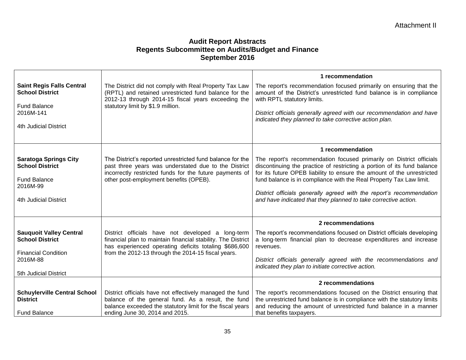|                                                                                           |                                                                                                                                                                                                                                  | 1 recommendation                                                                                                                                                                                                                                                                                |
|-------------------------------------------------------------------------------------------|----------------------------------------------------------------------------------------------------------------------------------------------------------------------------------------------------------------------------------|-------------------------------------------------------------------------------------------------------------------------------------------------------------------------------------------------------------------------------------------------------------------------------------------------|
| <b>Saint Regis Falls Central</b><br><b>School District</b>                                | The District did not comply with Real Property Tax Law<br>(RPTL) and retained unrestricted fund balance for the<br>2012-13 through 2014-15 fiscal years exceeding the                                                            | The report's recommendation focused primarily on ensuring that the<br>amount of the District's unrestricted fund balance is in compliance<br>with RPTL statutory limits.                                                                                                                        |
| <b>Fund Balance</b><br>2016M-141                                                          | statutory limit by \$1.9 million.                                                                                                                                                                                                | District officials generally agreed with our recommendation and have<br>indicated they planned to take corrective action plan.                                                                                                                                                                  |
| 4th Judicial District                                                                     |                                                                                                                                                                                                                                  |                                                                                                                                                                                                                                                                                                 |
|                                                                                           |                                                                                                                                                                                                                                  | 1 recommendation                                                                                                                                                                                                                                                                                |
| <b>Saratoga Springs City</b><br><b>School District</b><br><b>Fund Balance</b><br>2016M-99 | The District's reported unrestricted fund balance for the<br>past three years was understated due to the District<br>incorrectly restricted funds for the future payments of<br>other post-employment benefits (OPEB).           | The report's recommendation focused primarily on District officials<br>discontinuing the practice of restricting a portion of its fund balance<br>for its future OPEB liability to ensure the amount of the unrestricted<br>fund balance is in compliance with the Real Property Tax Law limit. |
| 4th Judicial District                                                                     |                                                                                                                                                                                                                                  | District officials generally agreed with the report's recommendation<br>and have indicated that they planned to take corrective action.                                                                                                                                                         |
|                                                                                           |                                                                                                                                                                                                                                  | 2 recommendations                                                                                                                                                                                                                                                                               |
| <b>Sauquoit Valley Central</b><br><b>School District</b><br><b>Financial Condition</b>    | District officials have not developed a long-term<br>financial plan to maintain financial stability. The District<br>has experienced operating deficits totaling \$686,600<br>from the 2012-13 through the 2014-15 fiscal years. | The report's recommendations focused on District officials developing<br>a long-term financial plan to decrease expenditures and increase<br>revenues.                                                                                                                                          |
| 2016M-88                                                                                  |                                                                                                                                                                                                                                  | District officials generally agreed with the recommendations and<br>indicated they plan to initiate corrective action.                                                                                                                                                                          |
| 5th Judicial District                                                                     |                                                                                                                                                                                                                                  |                                                                                                                                                                                                                                                                                                 |
|                                                                                           |                                                                                                                                                                                                                                  | 2 recommendations                                                                                                                                                                                                                                                                               |
| <b>Schuylerville Central School</b><br><b>District</b><br><b>Fund Balance</b>             | District officials have not effectively managed the fund<br>balance of the general fund. As a result, the fund<br>balance exceeded the statutory limit for the fiscal years<br>ending June 30, 2014 and 2015.                    | The report's recommendations focused on the District ensuring that<br>the unrestricted fund balance is in compliance with the statutory limits<br>and reducing the amount of unrestricted fund balance in a manner<br>that benefits taxpayers.                                                  |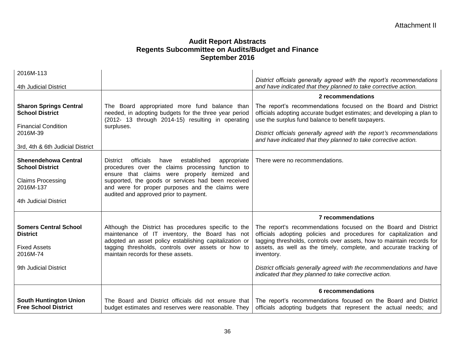| 2016M-113                                                                                                                             |                                                                                                                                                                                                                                                                                                                              |                                                                                                                                                                                                                                                                                                                                            |
|---------------------------------------------------------------------------------------------------------------------------------------|------------------------------------------------------------------------------------------------------------------------------------------------------------------------------------------------------------------------------------------------------------------------------------------------------------------------------|--------------------------------------------------------------------------------------------------------------------------------------------------------------------------------------------------------------------------------------------------------------------------------------------------------------------------------------------|
| 4th Judicial District                                                                                                                 |                                                                                                                                                                                                                                                                                                                              | District officials generally agreed with the report's recommendations<br>and have indicated that they planned to take corrective action.                                                                                                                                                                                                   |
|                                                                                                                                       |                                                                                                                                                                                                                                                                                                                              | 2 recommendations                                                                                                                                                                                                                                                                                                                          |
| <b>Sharon Springs Central</b><br><b>School District</b><br><b>Financial Condition</b><br>2016M-39<br>3rd, 4th & 6th Judicial District | The Board appropriated more fund balance than<br>needed, in adopting budgets for the three year period<br>(2012- 13 through 2014-15) resulting in operating<br>surpluses.                                                                                                                                                    | The report's recommendations focused on the Board and District<br>officials adopting accurate budget estimates; and developing a plan to<br>use the surplus fund balance to benefit taxpayers.<br>District officials generally agreed with the report's recommendations<br>and have indicated that they planned to take corrective action. |
| <b>Shenendehowa Central</b><br><b>School District</b><br><b>Claims Processing</b><br>2016M-137<br>4th Judicial District               | officials<br>have<br>established<br>appropriate<br><b>District</b><br>procedures over the claims processing function to<br>ensure that claims were properly itemized and<br>supported, the goods or services had been received<br>and were for proper purposes and the claims were<br>audited and approved prior to payment. | There were no recommendations.                                                                                                                                                                                                                                                                                                             |
|                                                                                                                                       |                                                                                                                                                                                                                                                                                                                              | 7 recommendations                                                                                                                                                                                                                                                                                                                          |
| <b>Somers Central School</b><br><b>District</b><br><b>Fixed Assets</b><br>2016M-74                                                    | Although the District has procedures specific to the<br>maintenance of IT inventory, the Board has not<br>adopted an asset policy establishing capitalization or<br>tagging thresholds, controls over assets or how to<br>maintain records for these assets.                                                                 | The report's recommendations focused on the Board and District<br>officials adopting policies and procedures for capitalization and<br>tagging thresholds, controls over assets, how to maintain records for<br>assets, as well as the timely, complete, and accurate tracking of<br>inventory.                                            |
| 9th Judicial District                                                                                                                 |                                                                                                                                                                                                                                                                                                                              | District officials generally agreed with the recommendations and have<br>indicated that they planned to take corrective action.                                                                                                                                                                                                            |
|                                                                                                                                       |                                                                                                                                                                                                                                                                                                                              | 6 recommendations                                                                                                                                                                                                                                                                                                                          |
| <b>South Huntington Union</b><br><b>Free School District</b>                                                                          | The Board and District officials did not ensure that<br>budget estimates and reserves were reasonable. They                                                                                                                                                                                                                  | The report's recommendations focused on the Board and District<br>officials adopting budgets that represent the actual needs; and                                                                                                                                                                                                          |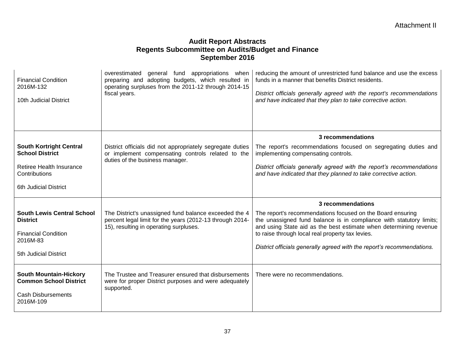| <b>Financial Condition</b><br>2016M-132<br>10th Judicial District                                        | overestimated general fund appropriations when<br>preparing and adopting budgets, which resulted in<br>operating surpluses from the 2011-12 through 2014-15<br>fiscal years. | reducing the amount of unrestricted fund balance and use the excess<br>funds in a manner that benefits District residents.<br>District officials generally agreed with the report's recommendations<br>and have indicated that they plan to take corrective action.                                                                  |
|----------------------------------------------------------------------------------------------------------|------------------------------------------------------------------------------------------------------------------------------------------------------------------------------|--------------------------------------------------------------------------------------------------------------------------------------------------------------------------------------------------------------------------------------------------------------------------------------------------------------------------------------|
|                                                                                                          |                                                                                                                                                                              | 3 recommendations                                                                                                                                                                                                                                                                                                                    |
| <b>South Kortright Central</b><br><b>School District</b>                                                 | District officials did not appropriately segregate duties<br>or implement compensating controls related to the                                                               | The report's recommendations focused on segregating duties and<br>implementing compensating controls.                                                                                                                                                                                                                                |
| Retiree Health Insurance<br>Contributions                                                                | duties of the business manager.                                                                                                                                              | District officials generally agreed with the report's recommendations<br>and have indicated that they planned to take corrective action.                                                                                                                                                                                             |
| 6th Judicial District                                                                                    |                                                                                                                                                                              |                                                                                                                                                                                                                                                                                                                                      |
|                                                                                                          |                                                                                                                                                                              | 3 recommendations                                                                                                                                                                                                                                                                                                                    |
| <b>South Lewis Central School</b><br><b>District</b><br><b>Financial Condition</b><br>2016M-83           | The District's unassigned fund balance exceeded the 4<br>percent legal limit for the years (2012-13 through 2014-<br>15), resulting in operating surpluses.                  | The report's recommendations focused on the Board ensuring<br>the unassigned fund balance is in compliance with statutory limits;<br>and using State aid as the best estimate when determining revenue<br>to raise through local real property tax levies.<br>District officials generally agreed with the report's recommendations. |
| 5th Judicial District                                                                                    |                                                                                                                                                                              |                                                                                                                                                                                                                                                                                                                                      |
| <b>South Mountain-Hickory</b><br><b>Common School District</b><br><b>Cash Disbursements</b><br>2016M-109 | The Trustee and Treasurer ensured that disbursements<br>were for proper District purposes and were adequately<br>supported.                                                  | There were no recommendations.                                                                                                                                                                                                                                                                                                       |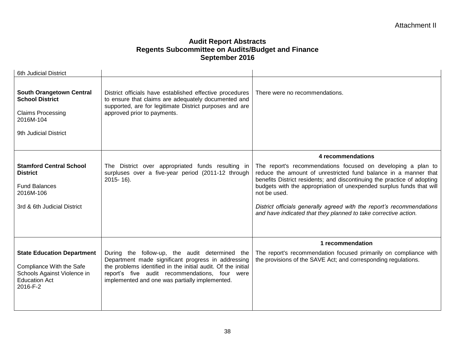| <b>6th Judicial District</b>                                                                                                     |                                                                                                                                                                                                                                                                          |                                                                                                                                                                                                                                                                                                                                                                                                                                                |
|----------------------------------------------------------------------------------------------------------------------------------|--------------------------------------------------------------------------------------------------------------------------------------------------------------------------------------------------------------------------------------------------------------------------|------------------------------------------------------------------------------------------------------------------------------------------------------------------------------------------------------------------------------------------------------------------------------------------------------------------------------------------------------------------------------------------------------------------------------------------------|
| <b>South Orangetown Central</b><br><b>School District</b><br><b>Claims Processing</b><br>2016M-104<br>9th Judicial District      | District officials have established effective procedures<br>to ensure that claims are adequately documented and<br>supported, are for legitimate District purposes and are<br>approved prior to payments.                                                                | There were no recommendations.                                                                                                                                                                                                                                                                                                                                                                                                                 |
|                                                                                                                                  |                                                                                                                                                                                                                                                                          | 4 recommendations                                                                                                                                                                                                                                                                                                                                                                                                                              |
| <b>Stamford Central School</b><br><b>District</b><br><b>Fund Balances</b><br>2016M-106<br>3rd & 6th Judicial District            | The District over appropriated funds resulting in<br>surpluses over a five-year period (2011-12 through<br>$2015 - 16$ ).                                                                                                                                                | The report's recommendations focused on developing a plan to<br>reduce the amount of unrestricted fund balance in a manner that<br>benefits District residents; and discontinuing the practice of adopting<br>budgets with the appropriation of unexpended surplus funds that will<br>not be used.<br>District officials generally agreed with the report's recommendations<br>and have indicated that they planned to take corrective action. |
|                                                                                                                                  |                                                                                                                                                                                                                                                                          | 1 recommendation                                                                                                                                                                                                                                                                                                                                                                                                                               |
| <b>State Education Department</b><br>Compliance With the Safe<br>Schools Against Violence in<br><b>Education Act</b><br>2016-F-2 | During the follow-up, the audit determined the<br>Department made significant progress in addressing<br>the problems identified in the initial audit. Of the initial<br>report's five audit recommendations, four were<br>implemented and one was partially implemented. | The report's recommendation focused primarily on compliance with<br>the provisions of the SAVE Act; and corresponding regulations.                                                                                                                                                                                                                                                                                                             |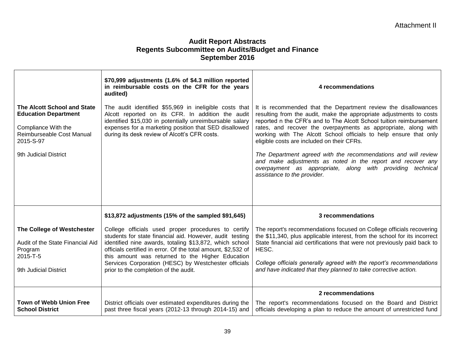|                                                                                                                                                      | \$70,999 adjustments (1.6% of \$4.3 million reported<br>in reimbursable costs on the CFR for the years<br>audited)                                                                                                                                                                                                                                                                               | 4 recommendations                                                                                                                                                                                                                                                                                                                                                                                                                                                                                                                                                                                                               |
|------------------------------------------------------------------------------------------------------------------------------------------------------|--------------------------------------------------------------------------------------------------------------------------------------------------------------------------------------------------------------------------------------------------------------------------------------------------------------------------------------------------------------------------------------------------|---------------------------------------------------------------------------------------------------------------------------------------------------------------------------------------------------------------------------------------------------------------------------------------------------------------------------------------------------------------------------------------------------------------------------------------------------------------------------------------------------------------------------------------------------------------------------------------------------------------------------------|
| The Alcott School and State<br><b>Education Department</b><br>Compliance With the<br>Reimburseable Cost Manual<br>2015-S-97<br>9th Judicial District | The audit identified \$55,969 in ineligible costs that<br>Alcott reported on its CFR. In addition the audit<br>identified \$15,030 in potentially unreimbursable salary<br>expenses for a marketing position that SED disallowed<br>during its desk review of Alcott's CFR costs.                                                                                                                | It is recommended that the Department review the disallowances<br>resulting from the audit, make the appropriate adjustments to costs<br>reported n the CFR's and to The Alcott School tuition reimbursement<br>rates, and recover the overpayments as appropriate, along with<br>working with The Alcott School officials to help ensure that only<br>eligible costs are included on their CFRs.<br>The Department agreed with the recommendations and will review<br>and make adjustments as noted in the report and recover any<br>overpayment as appropriate, along with providing technical<br>assistance to the provider. |
|                                                                                                                                                      | \$13,872 adjustments (15% of the sampled \$91,645)                                                                                                                                                                                                                                                                                                                                               | 3 recommendations                                                                                                                                                                                                                                                                                                                                                                                                                                                                                                                                                                                                               |
| The College of Westchester<br>Audit of the State Financial Aid<br>Program<br>2015-T-5<br>9th Judicial District                                       | College officials used proper procedures to certify<br>students for state financial aid. However, audit testing<br>identified nine awards, totaling \$13,872, which school<br>officials certified in error. Of the total amount, \$2,532 of<br>this amount was returned to the Higher Education<br>Services Corporation (HESC) by Westchester officials<br>prior to the completion of the audit. | The report's recommendations focused on College officials recovering<br>the \$11,340, plus applicable interest, from the school for its incorrect<br>State financial aid certifications that were not previously paid back to<br>HESC.<br>College officials generally agreed with the report's recommendations<br>and have indicated that they planned to take corrective action.                                                                                                                                                                                                                                               |
|                                                                                                                                                      |                                                                                                                                                                                                                                                                                                                                                                                                  | 2 recommendations                                                                                                                                                                                                                                                                                                                                                                                                                                                                                                                                                                                                               |
| <b>Town of Webb Union Free</b><br><b>School District</b>                                                                                             | District officials over estimated expenditures during the<br>past three fiscal years (2012-13 through 2014-15) and                                                                                                                                                                                                                                                                               | The report's recommendations focused on the Board and District<br>officials developing a plan to reduce the amount of unrestricted fund                                                                                                                                                                                                                                                                                                                                                                                                                                                                                         |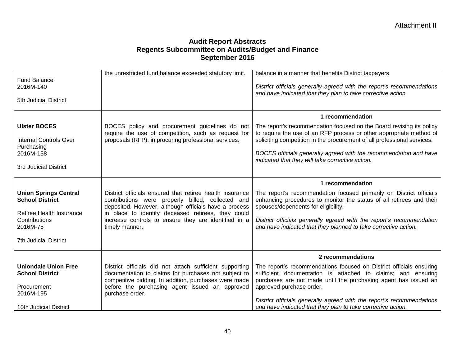| <b>Fund Balance</b><br>2016M-140<br>5th Judicial District                                                                                       | the unrestricted fund balance exceeded statutory limit.                                                                                                                                                                                                                                                | balance in a manner that benefits District taxpayers.<br>District officials generally agreed with the report's recommendations<br>and have indicated that they plan to take corrective action.                                                                                                                                                                                                   |
|-------------------------------------------------------------------------------------------------------------------------------------------------|--------------------------------------------------------------------------------------------------------------------------------------------------------------------------------------------------------------------------------------------------------------------------------------------------------|--------------------------------------------------------------------------------------------------------------------------------------------------------------------------------------------------------------------------------------------------------------------------------------------------------------------------------------------------------------------------------------------------|
| <b>Ulster BOCES</b><br><b>Internal Controls Over</b><br>Purchasing<br>2016M-158<br>3rd Judicial District                                        | BOCES policy and procurement guidelines do not<br>require the use of competition, such as request for<br>proposals (RFP), in procuring professional services.                                                                                                                                          | 1 recommendation<br>The report's recommendation focused on the Board revising its policy<br>to require the use of an RFP process or other appropriate method of<br>soliciting competition in the procurement of all professional services.<br>BOCES officials generally agreed with the recommendation and have<br>indicated that they will take corrective action.                              |
| <b>Union Springs Central</b><br><b>School District</b><br>Retiree Health Insurance<br>Contributions<br>2016M-75<br><b>7th Judicial District</b> | District officials ensured that retiree health insurance<br>contributions were properly billed, collected and<br>deposited. However, although officials have a process<br>in place to identify deceased retirees, they could<br>increase controls to ensure they are identified in a<br>timely manner. | 1 recommendation<br>The report's recommendation focused primarily on District officials<br>enhancing procedures to monitor the status of all retirees and their<br>spouses/dependents for eligibility.<br>District officials generally agreed with the report's recommendation<br>and have indicated that they planned to take corrective action.                                                |
| <b>Uniondale Union Free</b><br><b>School District</b><br>Procurement<br>2016M-195<br>10th Judicial District                                     | District officials did not attach sufficient supporting<br>documentation to claims for purchases not subject to<br>competitive bidding. In addition, purchases were made<br>before the purchasing agent issued an approved<br>purchase order.                                                          | 2 recommendations<br>The report's recommendations focused on District officials ensuring<br>sufficient documentation is attached to claims; and ensuring<br>purchases are not made until the purchasing agent has issued an<br>approved purchase order.<br>District officials generally agreed with the report's recommendations<br>and have indicated that they plan to take corrective action. |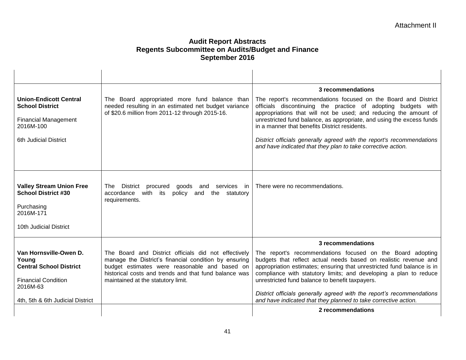|                                                                                                     |                                                                                                                                                                                                                         | 3 recommendations                                                                                                                                                                                                                                                                                                                |
|-----------------------------------------------------------------------------------------------------|-------------------------------------------------------------------------------------------------------------------------------------------------------------------------------------------------------------------------|----------------------------------------------------------------------------------------------------------------------------------------------------------------------------------------------------------------------------------------------------------------------------------------------------------------------------------|
| <b>Union-Endicott Central</b><br><b>School District</b><br><b>Financial Management</b><br>2016M-100 | The Board appropriated more fund balance than<br>needed resulting in an estimated net budget variance<br>of \$20.6 million from 2011-12 through 2015-16.                                                                | The report's recommendations focused on the Board and District<br>officials discontinuing the practice of adopting budgets with<br>appropriations that will not be used; and reducing the amount of<br>unrestricted fund balance, as appropriate, and using the excess funds<br>in a manner that benefits District residents.    |
| 6th Judicial District                                                                               |                                                                                                                                                                                                                         | District officials generally agreed with the report's recommendations<br>and have indicated that they plan to take corrective action.                                                                                                                                                                                            |
|                                                                                                     |                                                                                                                                                                                                                         |                                                                                                                                                                                                                                                                                                                                  |
| <b>Valley Stream Union Free</b><br><b>School District #30</b><br>Purchasing                         | District procured<br>goods and services in<br>The l<br>policy<br>accordance<br>with its<br>and<br>the<br>statutory<br>requirements.                                                                                     | There were no recommendations.                                                                                                                                                                                                                                                                                                   |
| 2016M-171                                                                                           |                                                                                                                                                                                                                         |                                                                                                                                                                                                                                                                                                                                  |
| 10th Judicial District                                                                              |                                                                                                                                                                                                                         |                                                                                                                                                                                                                                                                                                                                  |
|                                                                                                     |                                                                                                                                                                                                                         | 3 recommendations                                                                                                                                                                                                                                                                                                                |
| Van Hornsville-Owen D.<br>Young<br><b>Central School District</b><br><b>Financial Condition</b>     | The Board and District officials did not effectively<br>manage the District's financial condition by ensuring<br>budget estimates were reasonable and based on<br>historical costs and trends and that fund balance was | The report's recommendations focused on the Board adopting<br>budgets that reflect actual needs based on realistic revenue and<br>appropriation estimates; ensuring that unrestricted fund balance is in<br>compliance with statutory limits; and developing a plan to reduce<br>unrestricted fund balance to benefit taxpayers. |
| 2016M-63                                                                                            | maintained at the statutory limit.                                                                                                                                                                                      |                                                                                                                                                                                                                                                                                                                                  |
| 4th, 5th & 6th Judicial District                                                                    |                                                                                                                                                                                                                         | District officials generally agreed with the report's recommendations<br>and have indicated that they planned to take corrective action.                                                                                                                                                                                         |
|                                                                                                     |                                                                                                                                                                                                                         | 2 recommendations                                                                                                                                                                                                                                                                                                                |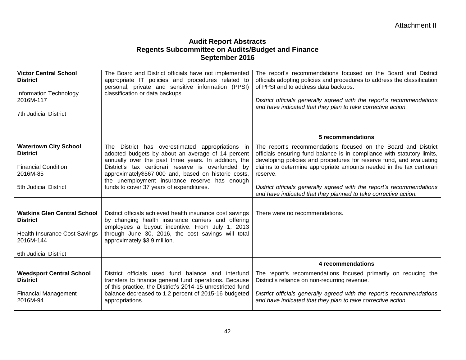| <b>Victor Central School</b><br><b>District</b><br>Information Technology<br>2016M-117<br><b>7th Judicial District</b>              | The Board and District officials have not implemented<br>appropriate IT policies and procedures related to<br>personal, private and sensitive information (PPSI)<br>classification or data backups.                                                                         | The report's recommendations focused on the Board and District<br>officials adopting policies and procedures to address the classification<br>of PPSI and to address data backups.<br>District officials generally agreed with the report's recommendations<br>and have indicated that they plan to take corrective action. |
|-------------------------------------------------------------------------------------------------------------------------------------|-----------------------------------------------------------------------------------------------------------------------------------------------------------------------------------------------------------------------------------------------------------------------------|-----------------------------------------------------------------------------------------------------------------------------------------------------------------------------------------------------------------------------------------------------------------------------------------------------------------------------|
|                                                                                                                                     |                                                                                                                                                                                                                                                                             | 5 recommendations                                                                                                                                                                                                                                                                                                           |
| <b>Watertown City School</b><br><b>District</b><br><b>Financial Condition</b><br>2016M-85                                           | The District has overestimated appropriations in<br>adopted budgets by about an average of 14 percent<br>annually over the past three years. In addition, the<br>District's tax certiorari reserve is overfunded by<br>approximately\$567,000 and, based on historic costs, | The report's recommendations focused on the Board and District<br>officials ensuring fund balance is in compliance with statutory limits,<br>developing policies and procedures for reserve fund, and evaluating<br>claims to determine appropriate amounts needed in the tax certiorari<br>reserve.                        |
| 5th Judicial District                                                                                                               | the unemployment insurance reserve has enough<br>funds to cover 37 years of expenditures.                                                                                                                                                                                   | District officials generally agreed with the report's recommendations<br>and have indicated that they planned to take corrective action.                                                                                                                                                                                    |
| <b>Watkins Glen Central School</b><br><b>District</b><br><b>Health Insurance Cost Savings</b><br>2016M-144<br>6th Judicial District | District officials achieved health insurance cost savings<br>by changing health insurance carriers and offering<br>employees a buyout incentive. From July 1, 2013<br>through June 30, 2016, the cost savings will total<br>approximately \$3.9 million.                    | There were no recommendations.                                                                                                                                                                                                                                                                                              |
|                                                                                                                                     |                                                                                                                                                                                                                                                                             | 4 recommendations                                                                                                                                                                                                                                                                                                           |
| <b>Weedsport Central School</b><br><b>District</b>                                                                                  | District officials used fund balance and interfund<br>transfers to finance general fund operations. Because<br>of this practice, the District's 2014-15 unrestricted fund                                                                                                   | The report's recommendations focused primarily on reducing the<br>District's reliance on non-recurring revenue.                                                                                                                                                                                                             |
| <b>Financial Management</b><br>2016M-94                                                                                             | balance decreased to 1.2 percent of 2015-16 budgeted<br>appropriations.                                                                                                                                                                                                     | District officials generally agreed with the report's recommendations<br>and have indicated that they plan to take corrective action.                                                                                                                                                                                       |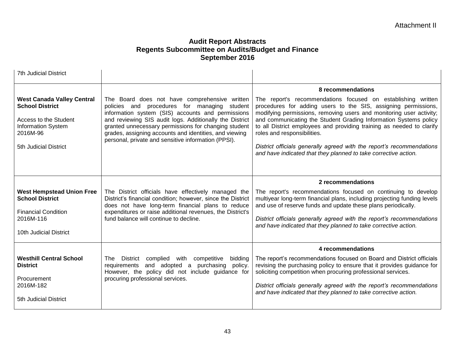| <b>7th Judicial District</b>                                                                                                                           |                                                                                                                                                                                                                                                                                                                                                                                        |                                                                                                                                                                                                                                                                                                                                                                                                                                                                                                                               |
|--------------------------------------------------------------------------------------------------------------------------------------------------------|----------------------------------------------------------------------------------------------------------------------------------------------------------------------------------------------------------------------------------------------------------------------------------------------------------------------------------------------------------------------------------------|-------------------------------------------------------------------------------------------------------------------------------------------------------------------------------------------------------------------------------------------------------------------------------------------------------------------------------------------------------------------------------------------------------------------------------------------------------------------------------------------------------------------------------|
|                                                                                                                                                        |                                                                                                                                                                                                                                                                                                                                                                                        | 8 recommendations                                                                                                                                                                                                                                                                                                                                                                                                                                                                                                             |
| <b>West Canada Valley Central</b><br><b>School District</b><br>Access to the Student<br><b>Information System</b><br>2016M-96<br>5th Judicial District | The Board does not have comprehensive written<br>policies and procedures for managing student<br>information system (SIS) accounts and permissions<br>and reviewing SIS audit logs. Additionally the District<br>granted unnecessary permissions for changing student<br>grades, assigning accounts and identities, and viewing<br>personal, private and sensitive information (PPSI). | The report's recommendations focused on establishing written<br>procedures for adding users to the SIS, assigning permissions,<br>modifying permissions, removing users and monitoring user activity;<br>and communicating the Student Grading Information Systems policy<br>to all District employees and providing training as needed to clarify<br>roles and responsibilities.<br>District officials generally agreed with the report's recommendations<br>and have indicated that they planned to take corrective action. |
|                                                                                                                                                        |                                                                                                                                                                                                                                                                                                                                                                                        | 2 recommendations                                                                                                                                                                                                                                                                                                                                                                                                                                                                                                             |
| <b>West Hempstead Union Free</b><br><b>School District</b>                                                                                             | The District officials have effectively managed the<br>District's financial condition; however, since the District<br>does not have long-term financial plans to reduce                                                                                                                                                                                                                | The report's recommendations focused on continuing to develop<br>multiyear long-term financial plans, including projecting funding levels<br>and use of reserve funds and update these plans periodically.                                                                                                                                                                                                                                                                                                                    |
| <b>Financial Condition</b><br>2016M-116                                                                                                                | expenditures or raise additional revenues, the District's<br>fund balance will continue to decline.                                                                                                                                                                                                                                                                                    | District officials generally agreed with the report's recommendations                                                                                                                                                                                                                                                                                                                                                                                                                                                         |
| 10th Judicial District                                                                                                                                 |                                                                                                                                                                                                                                                                                                                                                                                        |                                                                                                                                                                                                                                                                                                                                                                                                                                                                                                                               |
|                                                                                                                                                        |                                                                                                                                                                                                                                                                                                                                                                                        | and have indicated that they planned to take corrective action.                                                                                                                                                                                                                                                                                                                                                                                                                                                               |
|                                                                                                                                                        |                                                                                                                                                                                                                                                                                                                                                                                        |                                                                                                                                                                                                                                                                                                                                                                                                                                                                                                                               |
|                                                                                                                                                        |                                                                                                                                                                                                                                                                                                                                                                                        | 4 recommendations                                                                                                                                                                                                                                                                                                                                                                                                                                                                                                             |
| <b>Westhill Central School</b><br><b>District</b>                                                                                                      | The District complied with competitive<br>bidding<br>requirements and adopted a purchasing<br>policy.<br>However, the policy did not include guidance for                                                                                                                                                                                                                              | The report's recommendations focused on Board and District officials<br>revising the purchasing policy to ensure that it provides guidance for<br>soliciting competition when procuring professional services.                                                                                                                                                                                                                                                                                                                |
| Procurement<br>2016M-182                                                                                                                               | procuring professional services.                                                                                                                                                                                                                                                                                                                                                       | District officials generally agreed with the report's recommendations                                                                                                                                                                                                                                                                                                                                                                                                                                                         |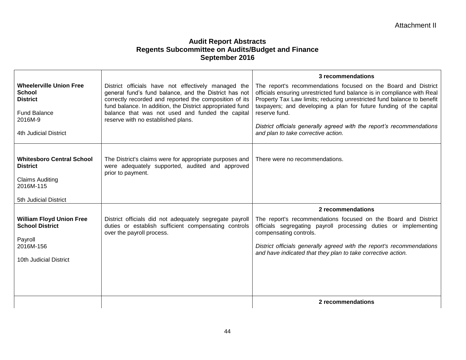|                                                                                           |                                                                                                                                                                                                                                                                                         | 3 recommendations                                                                                                                                                                                                                                                                                          |
|-------------------------------------------------------------------------------------------|-----------------------------------------------------------------------------------------------------------------------------------------------------------------------------------------------------------------------------------------------------------------------------------------|------------------------------------------------------------------------------------------------------------------------------------------------------------------------------------------------------------------------------------------------------------------------------------------------------------|
| <b>Wheelerville Union Free</b><br><b>School</b><br><b>District</b><br><b>Fund Balance</b> | District officials have not effectively managed the<br>general fund's fund balance, and the District has not<br>correctly recorded and reported the composition of its<br>fund balance. In addition, the District appropriated fund<br>balance that was not used and funded the capital | The report's recommendations focused on the Board and District<br>officials ensuring unrestricted fund balance is in compliance with Real<br>Property Tax Law limits; reducing unrestricted fund balance to benefit<br>taxpayers; and developing a plan for future funding of the capital<br>reserve fund. |
| 2016M-9                                                                                   | reserve with no established plans.                                                                                                                                                                                                                                                      |                                                                                                                                                                                                                                                                                                            |
| 4th Judicial District                                                                     |                                                                                                                                                                                                                                                                                         | District officials generally agreed with the report's recommendations<br>and plan to take corrective action.                                                                                                                                                                                               |
|                                                                                           |                                                                                                                                                                                                                                                                                         |                                                                                                                                                                                                                                                                                                            |
| <b>Whitesboro Central School</b><br><b>District</b>                                       | The District's claims were for appropriate purposes and<br>were adequately supported, audited and approved<br>prior to payment.                                                                                                                                                         | There were no recommendations.                                                                                                                                                                                                                                                                             |
| <b>Claims Auditing</b><br>2016M-115                                                       |                                                                                                                                                                                                                                                                                         |                                                                                                                                                                                                                                                                                                            |
| 5th Judicial District                                                                     |                                                                                                                                                                                                                                                                                         |                                                                                                                                                                                                                                                                                                            |
|                                                                                           |                                                                                                                                                                                                                                                                                         | 2 recommendations                                                                                                                                                                                                                                                                                          |
| <b>William Floyd Union Free</b><br><b>School District</b>                                 | District officials did not adequately segregate payroll<br>duties or establish sufficient compensating controls<br>over the payroll process.                                                                                                                                            | The report's recommendations focused on the Board and District<br>officials segregating payroll processing duties or implementing<br>compensating controls.                                                                                                                                                |
| Payroll<br>2016M-156                                                                      |                                                                                                                                                                                                                                                                                         | District officials generally agreed with the report's recommendations                                                                                                                                                                                                                                      |
|                                                                                           |                                                                                                                                                                                                                                                                                         | and have indicated that they plan to take corrective action.                                                                                                                                                                                                                                               |
| 10th Judicial District                                                                    |                                                                                                                                                                                                                                                                                         |                                                                                                                                                                                                                                                                                                            |
|                                                                                           |                                                                                                                                                                                                                                                                                         |                                                                                                                                                                                                                                                                                                            |
|                                                                                           |                                                                                                                                                                                                                                                                                         |                                                                                                                                                                                                                                                                                                            |
|                                                                                           |                                                                                                                                                                                                                                                                                         | 2 recommendations                                                                                                                                                                                                                                                                                          |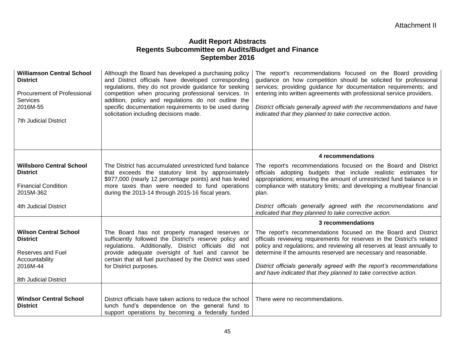| <b>Williamson Central School</b><br><b>District</b><br>Procurement of Professional<br><b>Services</b><br>2016M-55<br><b>7th Judicial District</b> | Although the Board has developed a purchasing policy<br>and District officials have developed corresponding<br>regulations, they do not provide guidance for seeking<br>competition when procuring professional services. In<br>addition, policy and regulations do not outline the<br>specific documentation requirements to be used during<br>solicitation including decisions made. | The report's recommendations focused on the Board providing<br>guidance on how competition should be solicited for professional<br>services; providing guidance for documentation requirements; and<br>entering into written agreements with professional service providers.<br>District officials generally agreed with the recommendations and have<br>indicated that they planned to take corrective action.                     |
|---------------------------------------------------------------------------------------------------------------------------------------------------|----------------------------------------------------------------------------------------------------------------------------------------------------------------------------------------------------------------------------------------------------------------------------------------------------------------------------------------------------------------------------------------|-------------------------------------------------------------------------------------------------------------------------------------------------------------------------------------------------------------------------------------------------------------------------------------------------------------------------------------------------------------------------------------------------------------------------------------|
|                                                                                                                                                   |                                                                                                                                                                                                                                                                                                                                                                                        | 4 recommendations                                                                                                                                                                                                                                                                                                                                                                                                                   |
| <b>Willsboro Central School</b><br><b>District</b><br><b>Financial Condition</b>                                                                  | The District has accumulated unrestricted fund balance<br>that exceeds the statutory limit by approximately<br>\$977,000 (nearly 12 percentage points) and has levied<br>more taxes than were needed to fund operations                                                                                                                                                                | The report's recommendations focused on the Board and District<br>officials adopting budgets that include realistic estimates for<br>appropriations; ensuring the amount of unrestricted fund balance is in<br>compliance with statutory limits; and developing a multiyear financial                                                                                                                                               |
| 2015M-362                                                                                                                                         | during the 2013-14 through 2015-16 fiscal years.                                                                                                                                                                                                                                                                                                                                       | plan.                                                                                                                                                                                                                                                                                                                                                                                                                               |
| 4th Judicial District                                                                                                                             |                                                                                                                                                                                                                                                                                                                                                                                        | District officials generally agreed with the recommendations and<br>indicated that they planned to take corrective action.                                                                                                                                                                                                                                                                                                          |
|                                                                                                                                                   |                                                                                                                                                                                                                                                                                                                                                                                        | 3 recommendations                                                                                                                                                                                                                                                                                                                                                                                                                   |
| <b>Wilson Central School</b><br><b>District</b><br>Reserves and Fuel<br>Accountability<br>2016M-44<br>8th Judicial District                       | The Board has not properly managed reserves or<br>sufficiently followed the District's reserve policy and<br>regulations. Additionally, District officials did not<br>provide adequate oversight of fuel and cannot be<br>certain that all fuel purchased by the District was used<br>for District purposes.                                                                           | The report's recommendations focused on the Board and District<br>officials reviewing requirements for reserves in the District's related<br>policy and regulations; and reviewing all reserves at least annually to<br>determine if the amounts reserved are necessary and reasonable.<br>District officials generally agreed with the report's recommendations<br>and have indicated that they planned to take corrective action. |
| <b>Windsor Central School</b><br><b>District</b>                                                                                                  | District officials have taken actions to reduce the school<br>lunch fund's dependence on the general fund to<br>support operations by becoming a federally funded                                                                                                                                                                                                                      | There were no recommendations.                                                                                                                                                                                                                                                                                                                                                                                                      |